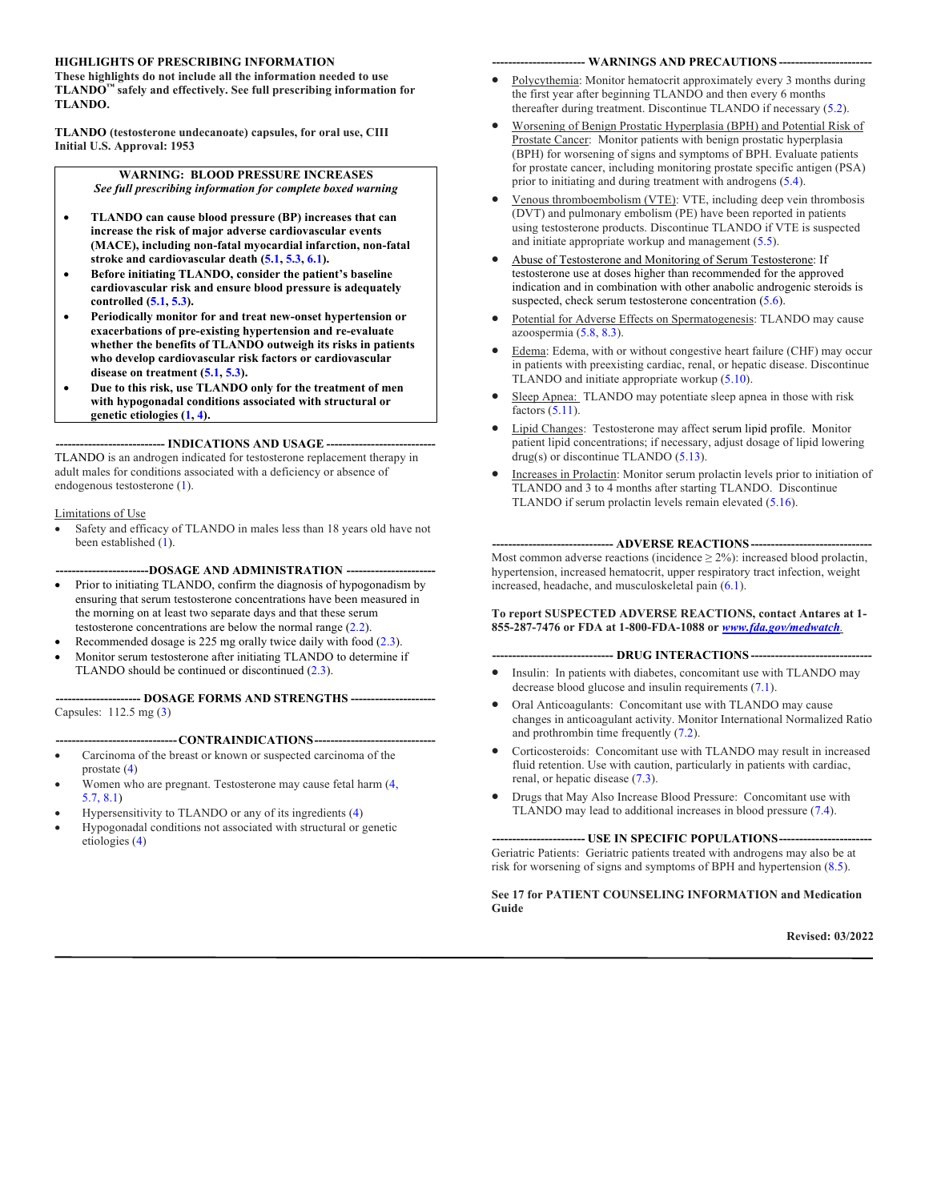#### **HIGHLIGHTS OF PRESCRIBING INFORMATION**

**These highlights do not include all the information needed to use TLANDO™ safely and effectively. See full prescribing information for TLANDO.**

**TLANDO (testosterone undecanoate) capsules, for oral use, CIII Initial U.S. Approval: 1953**

> **WARNING: BLOOD PRESSURE INCREASES** *See full prescribing information for complete boxed warning*

- **TLANDO can cause blood pressure (BP) increases that can increase the risk of major adverse cardiovascular events (MACE), including non-fatal myocardial infarction, non-fatal stroke and cardiovascular death (5.1, 5.3, 6.1).**
- **Before initiating TLANDO, consider the patient's baseline cardiovascular risk and ensure blood pressure is adequately controlled (5.1, 5.3).**
- **Periodically monitor for and treat new-onset hypertension or exacerbations of pre-existing hypertension and re-evaluate whether the benefits of TLANDO outweigh its risks in patients who develop cardiovascular risk factors or cardiovascular disease on treatment (5.1, 5.3).**
- **Due to this risk, use TLANDO only for the treatment of men with hypogonadal conditions associated with structural or genetic etiologies (1, 4).**

**--------------------------- INDICATIONS AND USAGE ---------------------------** TLANDO is an androgen indicated for testosterone replacement therapy in adult males for conditions associated with a deficiency or absence of endogenous testosterone (1).

#### Limitations of Use

Safety and efficacy of TLANDO in males less than 18 years old have not been established (1).

**-----------------------DOSAGE AND ADMINISTRATION ----------------------**

- Prior to initiating TLANDO, confirm the diagnosis of hypogonadism by ensuring that serum testosterone concentrations have been measured in the morning on at least two separate days and that these serum testosterone concentrations are below the normal range (2.2).
- Recommended dosage is 225 mg orally twice daily with food  $(2.3)$ .
- Monitor serum testosterone after initiating TLANDO to determine if TLANDO should be continued or discontinued (2.3).

**--------------------- DOSAGE FORMS AND STRENGTHS ---------------------** Capsules: 112.5 mg (3)

----CONTRAINDICATIONS----

- Carcinoma of the breast or known or suspected carcinoma of the prostate (4)
- Women who are pregnant. Testosterone may cause fetal harm (4, 5.7, 8.1)
- Hypersensitivity to TLANDO or any of its ingredients (4)
- Hypogonadal conditions not associated with structural or genetic etiologies (4)

#### **----------------------- WARNINGS AND PRECAUTIONS -----------------------**

- Polycythemia: Monitor hematocrit approximately every 3 months during the first year after beginning TLANDO and then every 6 months thereafter during treatment. Discontinue TLANDO if necessary (5.2).
- Worsening of Benign Prostatic Hyperplasia (BPH) and Potential Risk of Prostate Cancer: Monitor patients with benign prostatic hyperplasia (BPH) for worsening of signs and symptoms of BPH. Evaluate patients for prostate cancer, including monitoring prostate specific antigen (PSA) prior to initiating and during treatment with androgens (5.4).
- Venous thromboembolism (VTE): VTE, including deep vein thrombosis (DVT) and pulmonary embolism (PE) have been reported in patients using testosterone products. Discontinue TLANDO if VTE is suspected and initiate appropriate workup and management (5.5).
- Abuse of Testosterone and Monitoring of Serum Testosterone: If testosterone use at doses higher than recommended for the approved indication and in combination with other anabolic androgenic steroids is suspected, check serum testosterone concentration (5.6).
- Potential for Adverse Effects on Spermatogenesis: TLANDO may cause azoospermia  $(5.8, 8.3)$ .
- Edema: Edema, with or without congestive heart failure (CHF) may occur in patients with preexisting cardiac, renal, or hepatic disease. Discontinue TLANDO and initiate appropriate workup (5.10).
- Sleep Apnea: TLANDO may potentiate sleep apnea in those with risk factors (5.11).
- Lipid Changes: Testosterone may affect serum lipid profile. Monitor patient lipid concentrations; if necessary, adjust dosage of lipid lowering drug(s) or discontinue TLANDO (5.13).
- Increases in Prolactin: Monitor serum prolactin levels prior to initiation of TLANDO and 3 to 4 months after starting TLANDO. Discontinue TLANDO if serum prolactin levels remain elevated (5.16).

#### **------------------------------ ADVERSE REACTIONS------------------------------**

Most common adverse reactions (incidence  $\geq$  2%): increased blood prolactin, hypertension, increased hematocrit, upper respiratory tract infection, weight increased, headache, and musculoskeletal pain (6.1).

#### **To report SUSPECTED ADVERSE REACTIONS, contact Antares at 1- 855-287-7476 or FDA at 1-800-FDA-1088 or** *www.fda.gov/medwatch.*

**------------------------------ DRUG INTERACTIONS ------------------------------**

- Insulin: In patients with diabetes, concomitant use with TLANDO may decrease blood glucose and insulin requirements (7.1).
- Oral Anticoagulants: Concomitant use with TLANDO may cause changes in anticoagulant activity. Monitor International Normalized Ratio and prothrombin time frequently (7.2).
- Corticosteroids: Concomitant use with TLANDO may result in increased fluid retention. Use with caution, particularly in patients with cardiac, renal, or hepatic disease (7.3).
- Drugs that May Also Increase Blood Pressure: Concomitant use with TLANDO may lead to additional increases in blood pressure (7.4).

#### ---- USE IN SPECIFIC POPULATIONS----

Geriatric Patients: Geriatric patients treated with androgens may also be at risk for worsening of signs and symptoms of BPH and hypertension (8.5).

**See 17 for PATIENT COUNSELING INFORMATION and Medication Guide**

**Revised: 03/2022**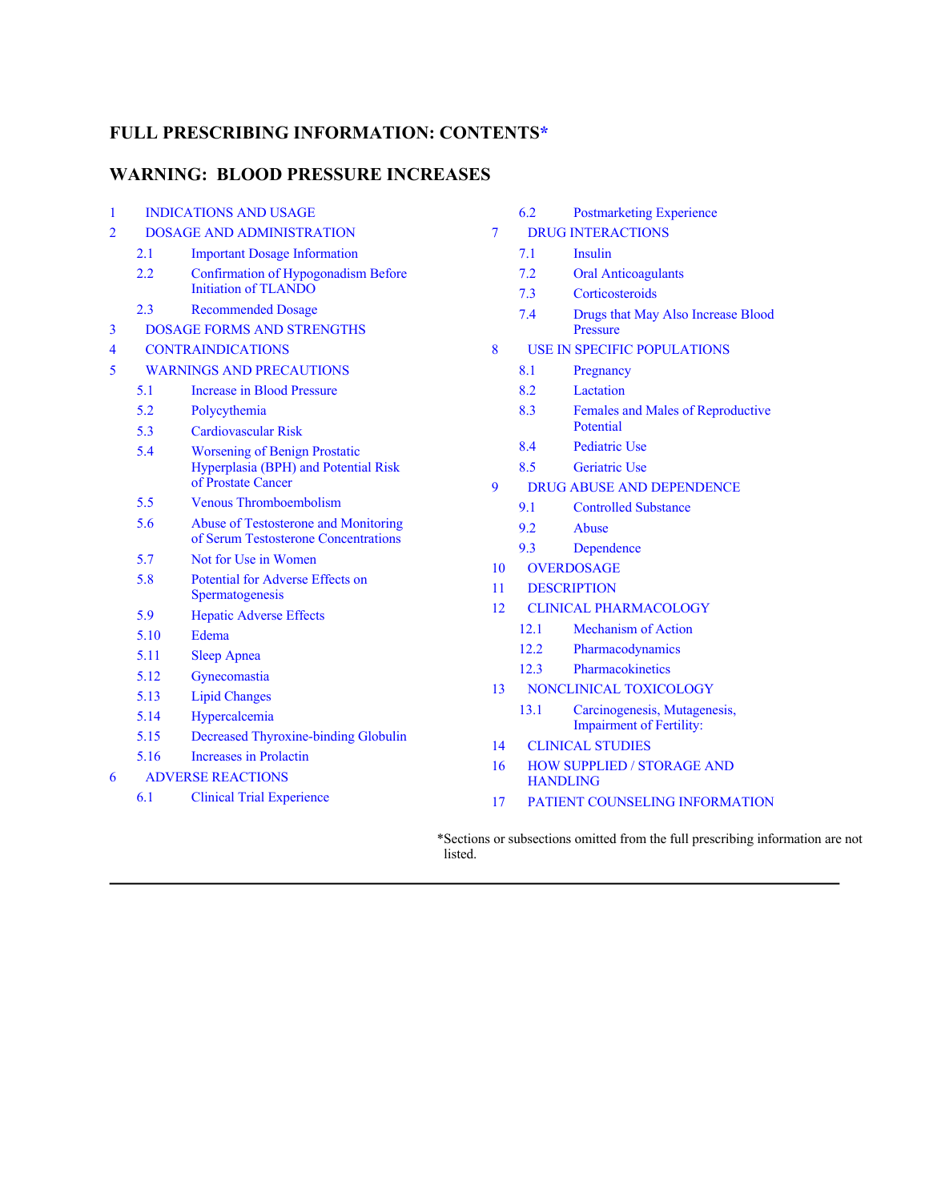#### **FULL PRESCRIBING INFORMATION: CONTENTS\***

#### **WARNING: BLOOD PRESSURE INCREASES**

| 1 | <b>INDICATIONS AND USAGE</b>     |                                                                                                    |  |
|---|----------------------------------|----------------------------------------------------------------------------------------------------|--|
| 2 | <b>DOSAGE AND ADMINISTRATION</b> |                                                                                                    |  |
|   | 2.1                              | <b>Important Dosage Information</b>                                                                |  |
|   | 2.2                              | <b>Confirmation of Hypogonadism Before</b><br>Initiation of TLANDO                                 |  |
|   | 2.3                              | <b>Recommended Dosage</b>                                                                          |  |
| 3 |                                  | <b>DOSAGE FORMS AND STRENGTHS</b>                                                                  |  |
| 4 | <b>CONTRAINDICATIONS</b>         |                                                                                                    |  |
| 5 | <b>WARNINGS AND PRECAUTIONS</b>  |                                                                                                    |  |
|   | 5.1                              | <b>Increase in Blood Pressure</b>                                                                  |  |
|   | 5.2                              | Polycythemia                                                                                       |  |
|   | 5.3                              | Cardiovascular Risk                                                                                |  |
|   | 5.4                              | <b>Worsening of Benign Prostatic</b><br>Hyperplasia (BPH) and Potential Risk<br>of Prostate Cancer |  |
|   | 5.5                              | Venous Thromboembolism                                                                             |  |
|   | 5.6                              | Abuse of Testosterone and Monitoring<br>of Serum Testosterone Concentrations                       |  |
|   | 5.7                              | Not for Use in Women                                                                               |  |
|   | 5.8                              | <b>Potential for Adverse Effects on</b><br>Spermatogenesis                                         |  |
|   | 5.9                              | <b>Hepatic Adverse Effects</b>                                                                     |  |
|   | 5.10                             | Edema                                                                                              |  |
|   | 5.11                             | <b>Sleep Apnea</b>                                                                                 |  |
|   | 5.12                             | Gynecomastia                                                                                       |  |
|   | 5.13                             | <b>Lipid Changes</b>                                                                               |  |
|   | 5.14                             | Hypercalcemia                                                                                      |  |
|   | 5.15                             | Decreased Thyroxine-binding Globulin                                                               |  |
|   | 5.16                             | Increases in Prolactin                                                                             |  |
| 6 |                                  | <b>ADVERSE REACTIONS</b>                                                                           |  |
|   | 6.1                              | <b>Clinical Trial Experience</b>                                                                   |  |
|   |                                  |                                                                                                    |  |

- 6.2 Postmarketing Experience
- 7 DRUG INTERACTIONS
	- 7.1 Insulin
	- 7.2 Oral Anticoagulants
	- 7.3 Corticosteroids
	- 7.4 Drugs that May Also Increase Blood Pressure
- 8 USE IN SPECIFIC POPULATIONS
	- 8.1 Pregnancy
	- 8.2 Lactation
	- 8.3 Females and Males of Reproductive Potential
	- 8.4 Pediatric Use
	- 8.5 Geriatric Use
- 9 DRUG ABUSE AND DEPENDENCE
	- 9.1 Controlled Substance
	- 9.2 Abuse
	- 9.3 Dependence
- 10 OVERDOSAGE
- 11 DESCRIPTION
- 12 CLINICAL PHARMACOLOGY
	- 12.1 Mechanism of Action
	- 12.2 Pharmacodynamics
	- 12.3 Pharmacokinetics
- 13 NONCLINICAL TOXICOLOGY
	- 13.1 Carcinogenesis, Mutagenesis, Impairment of Fertility:
- 14 CLINICAL STUDIES
- 16 HOW SUPPLIED / STORAGE AND **HANDLING**
- 17 PATIENT COUNSELING INFORMATION

\*Sections or subsections omitted from the full prescribing information are not listed.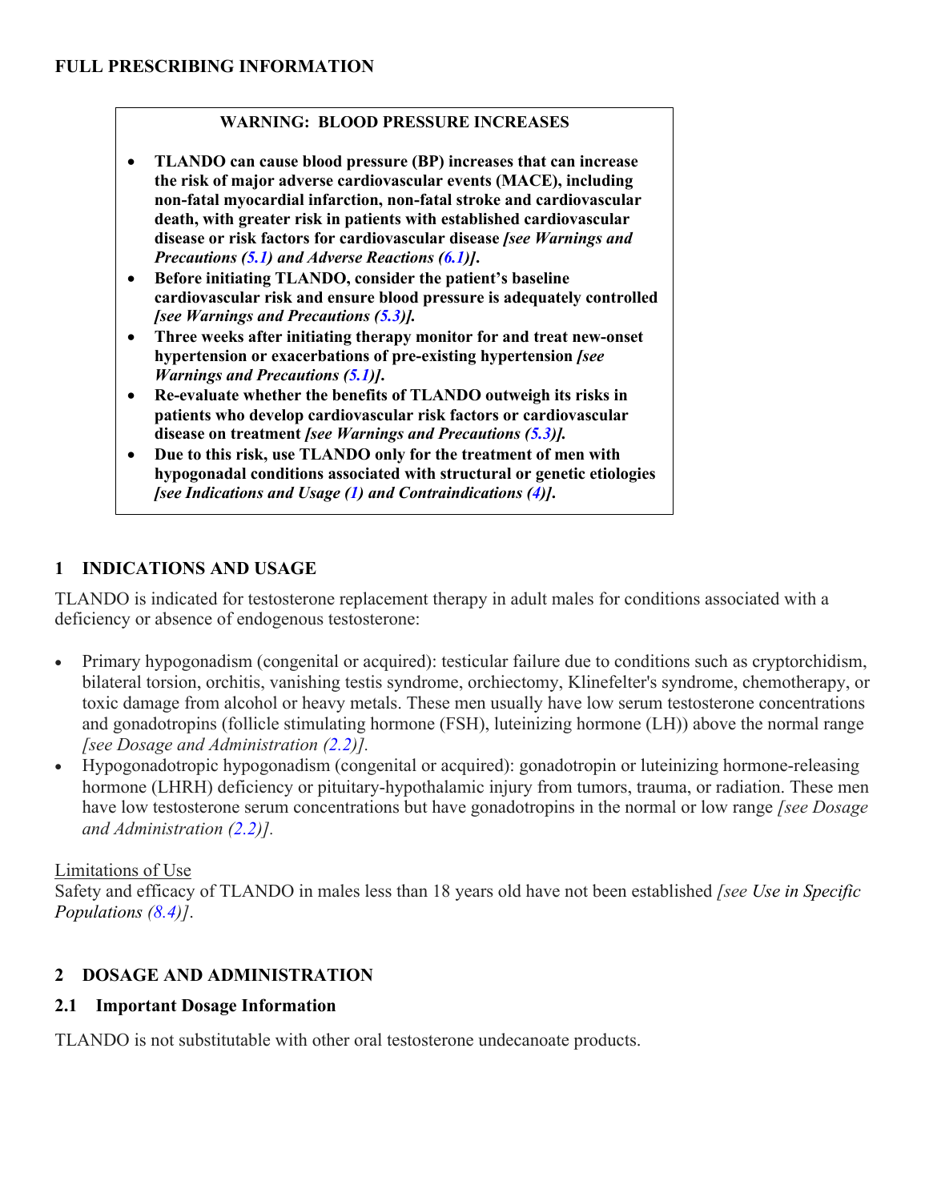#### **WARNING: BLOOD PRESSURE INCREASES**

- **TLANDO can cause blood pressure (BP) increases that can increase the risk of major adverse cardiovascular events (MACE), including non-fatal myocardial infarction, non-fatal stroke and cardiovascular death, with greater risk in patients with established cardiovascular disease or risk factors for cardiovascular disease** *[see Warnings and Precautions (5.1) and Adverse Reactions (6.1)]***.**
- **Before initiating TLANDO, consider the patient's baseline cardiovascular risk and ensure blood pressure is adequately controlled** *[see Warnings and Precautions (5.3)].*
- **Three weeks after initiating therapy monitor for and treat new-onset hypertension or exacerbations of pre-existing hypertension** *[see Warnings and Precautions (5.1)]***.**
- **Re-evaluate whether the benefits of TLANDO outweigh its risks in patients who develop cardiovascular risk factors or cardiovascular disease on treatment** *[see Warnings and Precautions (5.3)].*
- **Due to this risk, use TLANDO only for the treatment of men with hypogonadal conditions associated with structural or genetic etiologies**  *[see Indications and Usage (1) and Contraindications (4)]***.**

# **1 INDICATIONS AND USAGE**

TLANDO is indicated for testosterone replacement therapy in adult males for conditions associated with a deficiency or absence of endogenous testosterone:

- Primary hypogonadism (congenital or acquired): testicular failure due to conditions such as cryptorchidism, bilateral torsion, orchitis, vanishing testis syndrome, orchiectomy, Klinefelter's syndrome, chemotherapy, or toxic damage from alcohol or heavy metals. These men usually have low serum testosterone concentrations and gonadotropins (follicle stimulating hormone (FSH), luteinizing hormone (LH)) above the normal range *[see Dosage and Administration (2.2)].*
- Hypogonadotropic hypogonadism (congenital or acquired): gonadotropin or luteinizing hormone-releasing hormone (LHRH) deficiency or pituitary-hypothalamic injury from tumors, trauma, or radiation. These men have low testosterone serum concentrations but have gonadotropins in the normal or low range *[see Dosage and Administration (2.2)].*

#### Limitations of Use

Safety and efficacy of TLANDO in males less than 18 years old have not been established *[see Use in Specific Populations (8.4)]*.

# **2 DOSAGE AND ADMINISTRATION**

### **2.1 Important Dosage Information**

TLANDO is not substitutable with other oral testosterone undecanoate products.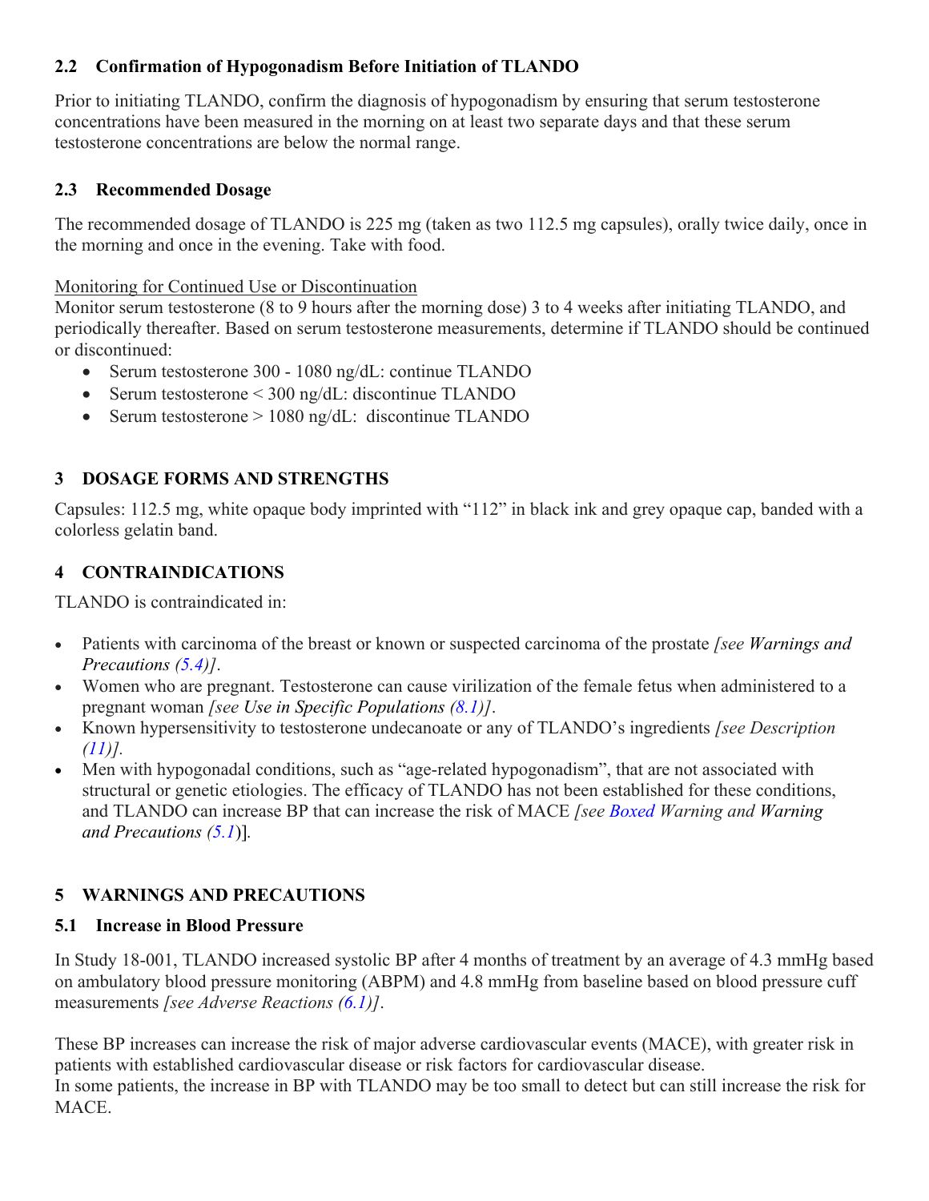# **2.2 Confirmation of Hypogonadism Before Initiation of TLANDO**

Prior to initiating TLANDO, confirm the diagnosis of hypogonadism by ensuring that serum testosterone concentrations have been measured in the morning on at least two separate days and that these serum testosterone concentrations are below the normal range.

# **2.3 Recommended Dosage**

The recommended dosage of TLANDO is 225 mg (taken as two 112.5 mg capsules), orally twice daily, once in the morning and once in the evening. Take with food.

#### Monitoring for Continued Use or Discontinuation

Monitor serum testosterone (8 to 9 hours after the morning dose) 3 to 4 weeks after initiating TLANDO, and periodically thereafter. Based on serum testosterone measurements, determine if TLANDO should be continued or discontinued:

- Serum testosterone 300 1080 ng/dL: continue TLANDO
- Serum testosterone < 300 ng/dL: discontinue TLANDO
- Serum testosterone > 1080 ng/dL: discontinue TLANDO

# **3 DOSAGE FORMS AND STRENGTHS**

Capsules: 112.5 mg, white opaque body imprinted with "112" in black ink and grey opaque cap, banded with a colorless gelatin band.

# **4 CONTRAINDICATIONS**

TLANDO is contraindicated in:

- Patients with carcinoma of the breast or known or suspected carcinoma of the prostate *[see Warnings and Precautions (5.4)]*.
- Women who are pregnant. Testosterone can cause virilization of the female fetus when administered to a pregnant woman *[see Use in Specific Populations (8.1)]*.
- Known hypersensitivity to testosterone undecanoate or any of TLANDO's ingredients *[see Description (11)].*
- Men with hypogonadal conditions, such as "age-related hypogonadism", that are not associated with structural or genetic etiologies. The efficacy of TLANDO has not been established for these conditions, and TLANDO can increase BP that can increase the risk of MACE *[see Boxed Warning and Warning and Precautions (5.1*)]*.*

# **5 WARNINGS AND PRECAUTIONS**

# **5.1 Increase in Blood Pressure**

In Study 18-001, TLANDO increased systolic BP after 4 months of treatment by an average of 4.3 mmHg based on ambulatory blood pressure monitoring (ABPM) and 4.8 mmHg from baseline based on blood pressure cuff measurements *[see Adverse Reactions (6.1)]*.

These BP increases can increase the risk of major adverse cardiovascular events (MACE), with greater risk in patients with established cardiovascular disease or risk factors for cardiovascular disease. In some patients, the increase in BP with TLANDO may be too small to detect but can still increase the risk for MACE.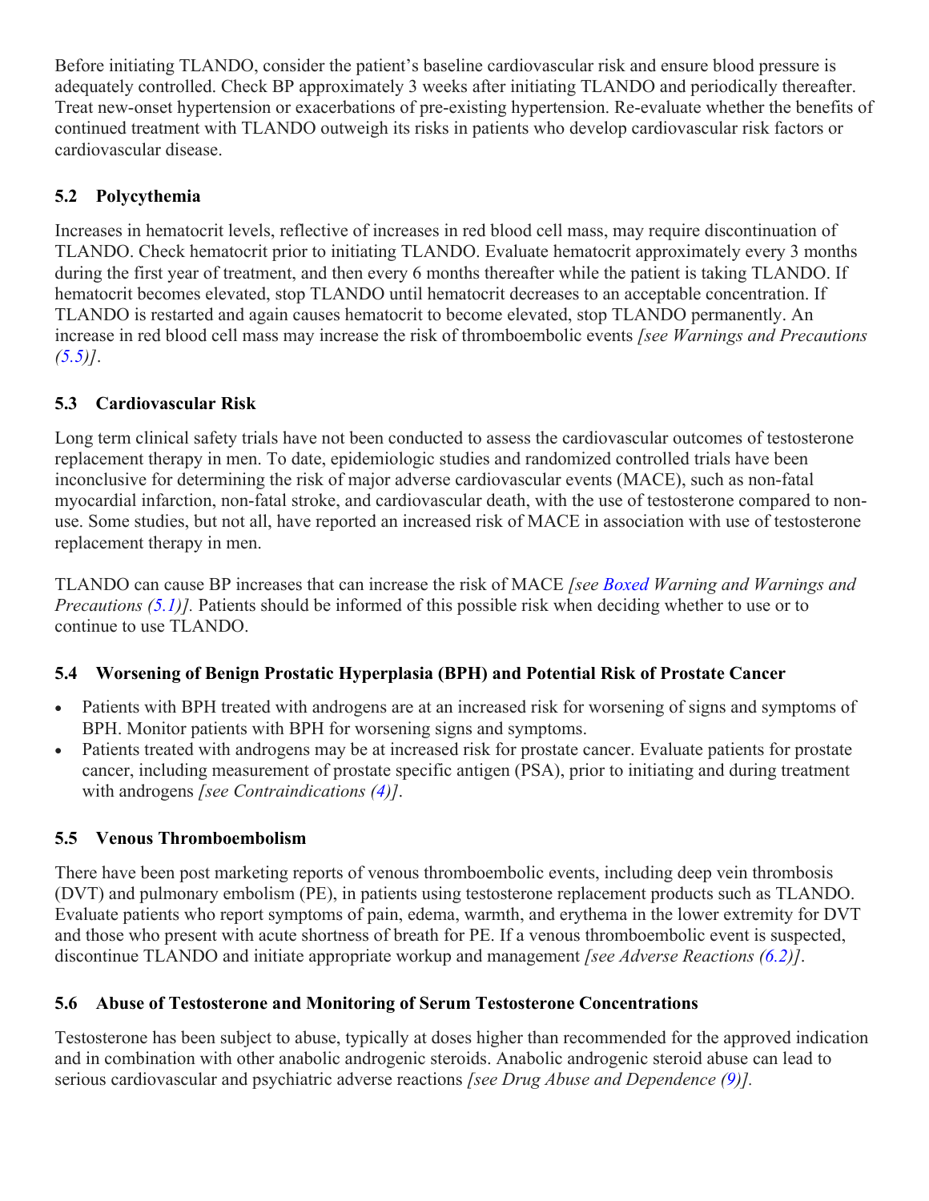Before initiating TLANDO, consider the patient's baseline cardiovascular risk and ensure blood pressure is adequately controlled. Check BP approximately 3 weeks after initiating TLANDO and periodically thereafter. Treat new-onset hypertension or exacerbations of pre-existing hypertension. Re-evaluate whether the benefits of continued treatment with TLANDO outweigh its risks in patients who develop cardiovascular risk factors or cardiovascular disease.

# **5.2 Polycythemia**

Increases in hematocrit levels, reflective of increases in red blood cell mass, may require discontinuation of TLANDO. Check hematocrit prior to initiating TLANDO. Evaluate hematocrit approximately every 3 months during the first year of treatment, and then every 6 months thereafter while the patient is taking TLANDO. If hematocrit becomes elevated, stop TLANDO until hematocrit decreases to an acceptable concentration. If TLANDO is restarted and again causes hematocrit to become elevated, stop TLANDO permanently. An increase in red blood cell mass may increase the risk of thromboembolic events *[see Warnings and Precautions (5.5)]*.

# **5.3 Cardiovascular Risk**

Long term clinical safety trials have not been conducted to assess the cardiovascular outcomes of testosterone replacement therapy in men. To date, epidemiologic studies and randomized controlled trials have been inconclusive for determining the risk of major adverse cardiovascular events (MACE), such as non-fatal myocardial infarction, non-fatal stroke, and cardiovascular death, with the use of testosterone compared to nonuse. Some studies, but not all, have reported an increased risk of MACE in association with use of testosterone replacement therapy in men.

TLANDO can cause BP increases that can increase the risk of MACE *[see Boxed Warning and Warnings and Precautions (5.1)].* Patients should be informed of this possible risk when deciding whether to use or to continue to use TLANDO.

# **5.4 Worsening of Benign Prostatic Hyperplasia (BPH) and Potential Risk of Prostate Cancer**

- Patients with BPH treated with androgens are at an increased risk for worsening of signs and symptoms of BPH. Monitor patients with BPH for worsening signs and symptoms.
- Patients treated with androgens may be at increased risk for prostate cancer. Evaluate patients for prostate cancer, including measurement of prostate specific antigen (PSA), prior to initiating and during treatment with androgens *[see Contraindications (4)]*.

# **5.5 Venous Thromboembolism**

There have been post marketing reports of venous thromboembolic events, including deep vein thrombosis (DVT) and pulmonary embolism (PE), in patients using testosterone replacement products such as TLANDO. Evaluate patients who report symptoms of pain, edema, warmth, and erythema in the lower extremity for DVT and those who present with acute shortness of breath for PE. If a venous thromboembolic event is suspected, discontinue TLANDO and initiate appropriate workup and management *[see Adverse Reactions (6.2)]*.

# **5.6 Abuse of Testosterone and Monitoring of Serum Testosterone Concentrations**

Testosterone has been subject to abuse, typically at doses higher than recommended for the approved indication and in combination with other anabolic androgenic steroids. Anabolic androgenic steroid abuse can lead to serious cardiovascular and psychiatric adverse reactions *[see Drug Abuse and Dependence (9)].*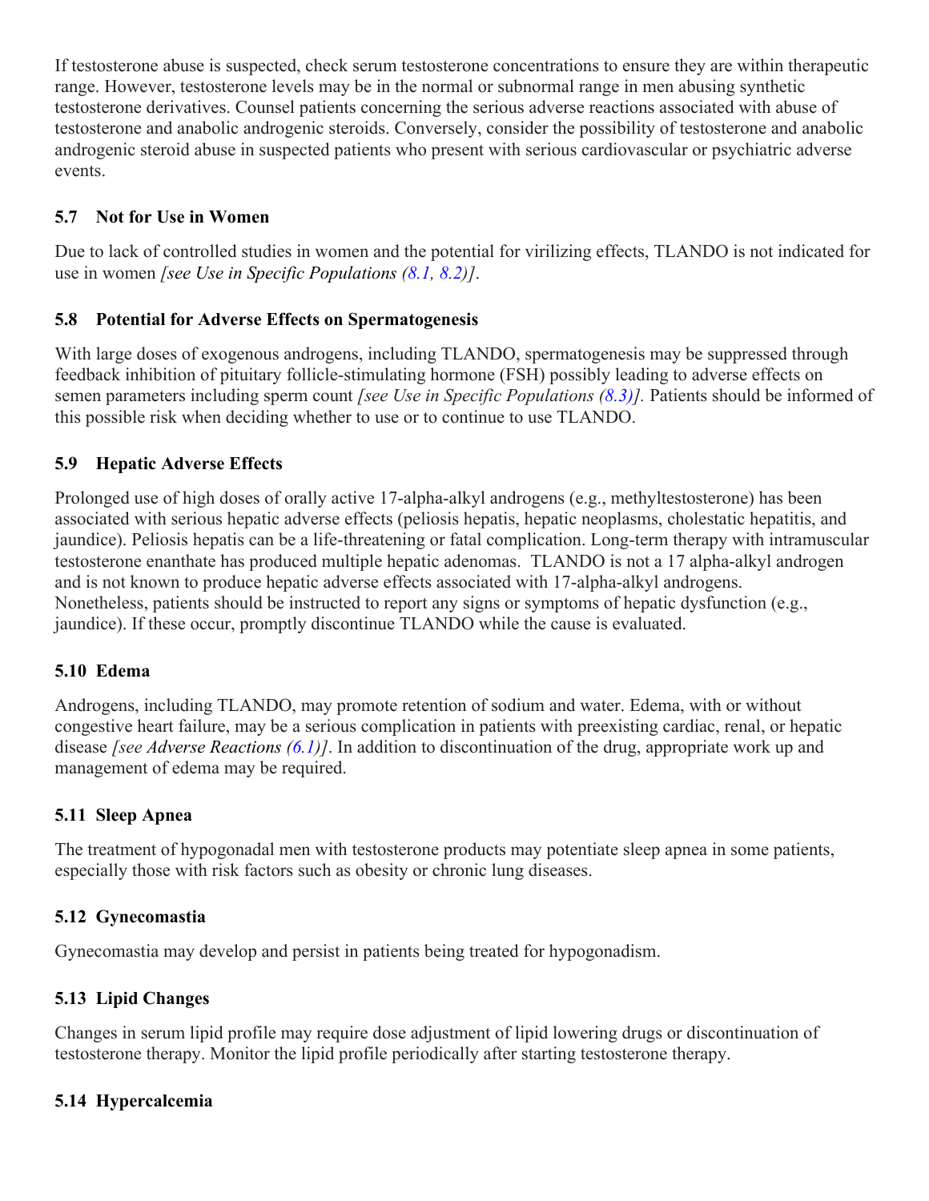If testosterone abuse is suspected, check serum testosterone concentrations to ensure they are within therapeutic range. However, testosterone levels may be in the normal or subnormal range in men abusing synthetic testosterone derivatives. Counsel patients concerning the serious adverse reactions associated with abuse of testosterone and anabolic androgenic steroids. Conversely, consider the possibility of testosterone and anabolic androgenic steroid abuse in suspected patients who present with serious cardiovascular or psychiatric adverse events.

# **5.7 Not for Use in Women**

Due to lack of controlled studies in women and the potential for virilizing effects, TLANDO is not indicated for use in women *[see Use in Specific Populations (8.1, 8.2)]*.

### **5.8 Potential for Adverse Effects on Spermatogenesis**

With large doses of exogenous androgens, including TLANDO, spermatogenesis may be suppressed through feedback inhibition of pituitary follicle-stimulating hormone (FSH) possibly leading to adverse effects on semen parameters including sperm count *[see Use in Specific Populations (8.3)].* Patients should be informed of this possible risk when deciding whether to use or to continue to use TLANDO.

### **5.9 Hepatic Adverse Effects**

Prolonged use of high doses of orally active 17-alpha-alkyl androgens (e.g., methyltestosterone) has been associated with serious hepatic adverse effects (peliosis hepatis, hepatic neoplasms, cholestatic hepatitis, and jaundice). Peliosis hepatis can be a life-threatening or fatal complication. Long-term therapy with intramuscular testosterone enanthate has produced multiple hepatic adenomas. TLANDO is not a 17 alpha-alkyl androgen and is not known to produce hepatic adverse effects associated with 17-alpha-alkyl androgens. Nonetheless, patients should be instructed to report any signs or symptoms of hepatic dysfunction (e.g., jaundice). If these occur, promptly discontinue TLANDO while the cause is evaluated.

### **5.10 Edema**

Androgens, including TLANDO, may promote retention of sodium and water. Edema, with or without congestive heart failure, may be a serious complication in patients with preexisting cardiac, renal, or hepatic disease *[see Adverse Reactions (6.1)]*. In addition to discontinuation of the drug, appropriate work up and management of edema may be required.

### **5.11 Sleep Apnea**

The treatment of hypogonadal men with testosterone products may potentiate sleep apnea in some patients, especially those with risk factors such as obesity or chronic lung diseases.

### **5.12 Gynecomastia**

Gynecomastia may develop and persist in patients being treated for hypogonadism.

### **5.13 Lipid Changes**

Changes in serum lipid profile may require dose adjustment of lipid lowering drugs or discontinuation of testosterone therapy. Monitor the lipid profile periodically after starting testosterone therapy.

# **5.14 Hypercalcemia**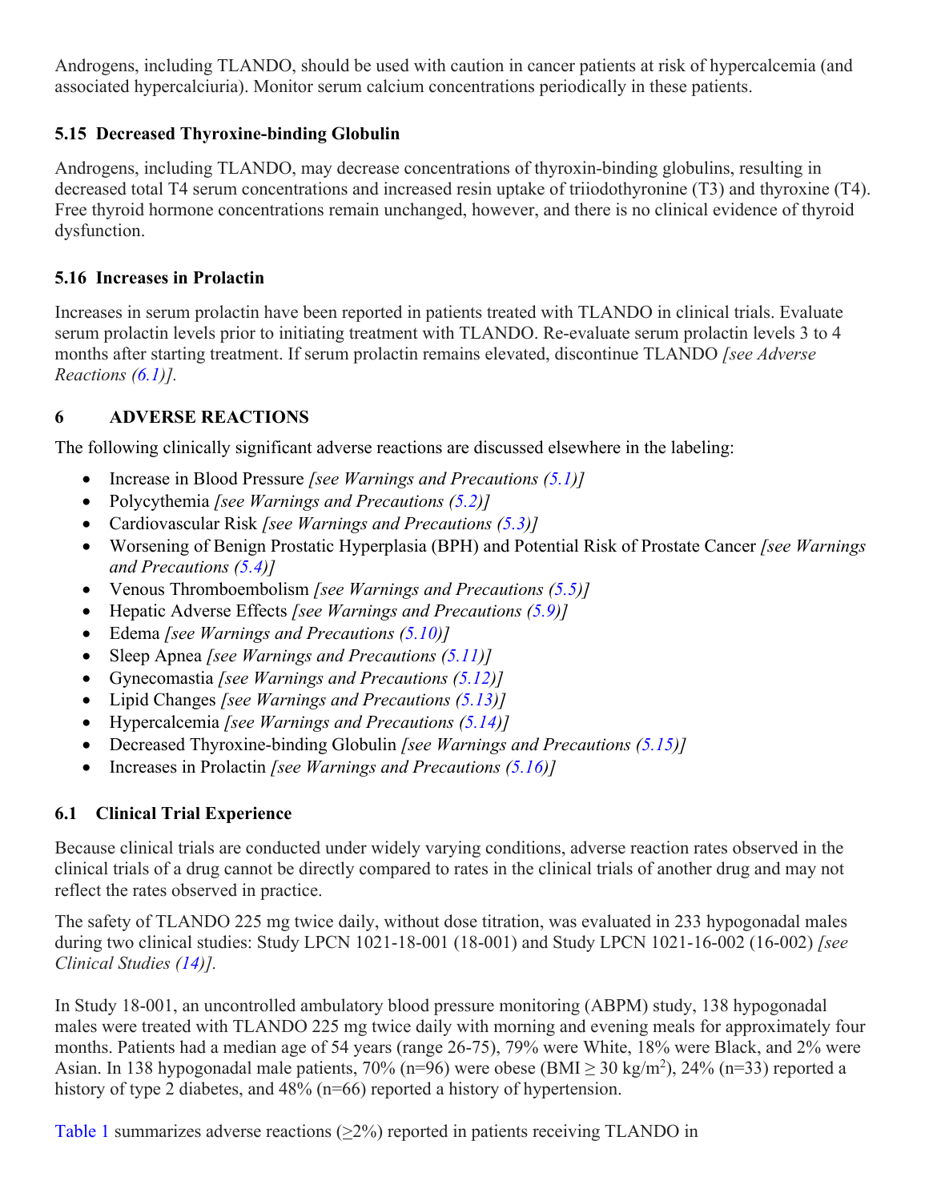Androgens, including TLANDO, should be used with caution in cancer patients at risk of hypercalcemia (and associated hypercalciuria). Monitor serum calcium concentrations periodically in these patients.

# **5.15 Decreased Thyroxine-binding Globulin**

Androgens, including TLANDO, may decrease concentrations of thyroxin-binding globulins, resulting in decreased total T4 serum concentrations and increased resin uptake of triiodothyronine (T3) and thyroxine (T4). Free thyroid hormone concentrations remain unchanged, however, and there is no clinical evidence of thyroid dysfunction.

# **5.16 Increases in Prolactin**

Increases in serum prolactin have been reported in patients treated with TLANDO in clinical trials. Evaluate serum prolactin levels prior to initiating treatment with TLANDO. Re-evaluate serum prolactin levels 3 to 4 months after starting treatment. If serum prolactin remains elevated, discontinue TLANDO *[see Adverse Reactions (6.1)].*

# **6 ADVERSE REACTIONS**

The following clinically significant adverse reactions are discussed elsewhere in the labeling:

- Increase in Blood Pressure *[see Warnings and Precautions (5.1)]*
- Polycythemia *[see Warnings and Precautions (5.2)]*
- Cardiovascular Risk *[see Warnings and Precautions (5.3)]*
- Worsening of Benign Prostatic Hyperplasia (BPH) and Potential Risk of Prostate Cancer *[see Warnings and Precautions (5.4)]*
- Venous Thromboembolism *[see Warnings and Precautions (5.5)]*
- Hepatic Adverse Effects *[see Warnings and Precautions (5.9)]*
- Edema *[see Warnings and Precautions (5.10)]*
- Sleep Apnea *[see Warnings and Precautions (5.11)]*
- Gynecomastia *[see Warnings and Precautions (5.12)]*
- Lipid Changes *[see Warnings and Precautions (5.13)]*
- Hypercalcemia *[see Warnings and Precautions (5.14)]*
- Decreased Thyroxine-binding Globulin *[see Warnings and Precautions (5.15)]*
- Increases in Prolactin *[see Warnings and Precautions (5.16)]*

# **6.1 Clinical Trial Experience**

Because clinical trials are conducted under widely varying conditions, adverse reaction rates observed in the clinical trials of a drug cannot be directly compared to rates in the clinical trials of another drug and may not reflect the rates observed in practice.

The safety of TLANDO 225 mg twice daily, without dose titration, was evaluated in 233 hypogonadal males during two clinical studies: Study LPCN 1021-18-001 (18-001) and Study LPCN 1021-16-002 (16-002) *[see Clinical Studies (14)].*

In Study 18-001, an uncontrolled ambulatory blood pressure monitoring (ABPM) study, 138 hypogonadal males were treated with TLANDO 225 mg twice daily with morning and evening meals for approximately four months. Patients had a median age of 54 years (range 26-75), 79% were White, 18% were Black, and 2% were Asian. In 138 hypogonadal male patients, 70% (n=96) were obese (BMI  $\geq$  30 kg/m<sup>2</sup>), 24% (n=33) reported a history of type 2 diabetes, and 48% (n=66) reported a history of hypertension.

Table 1 summarizes adverse reactions (>2%) reported in patients receiving TLANDO in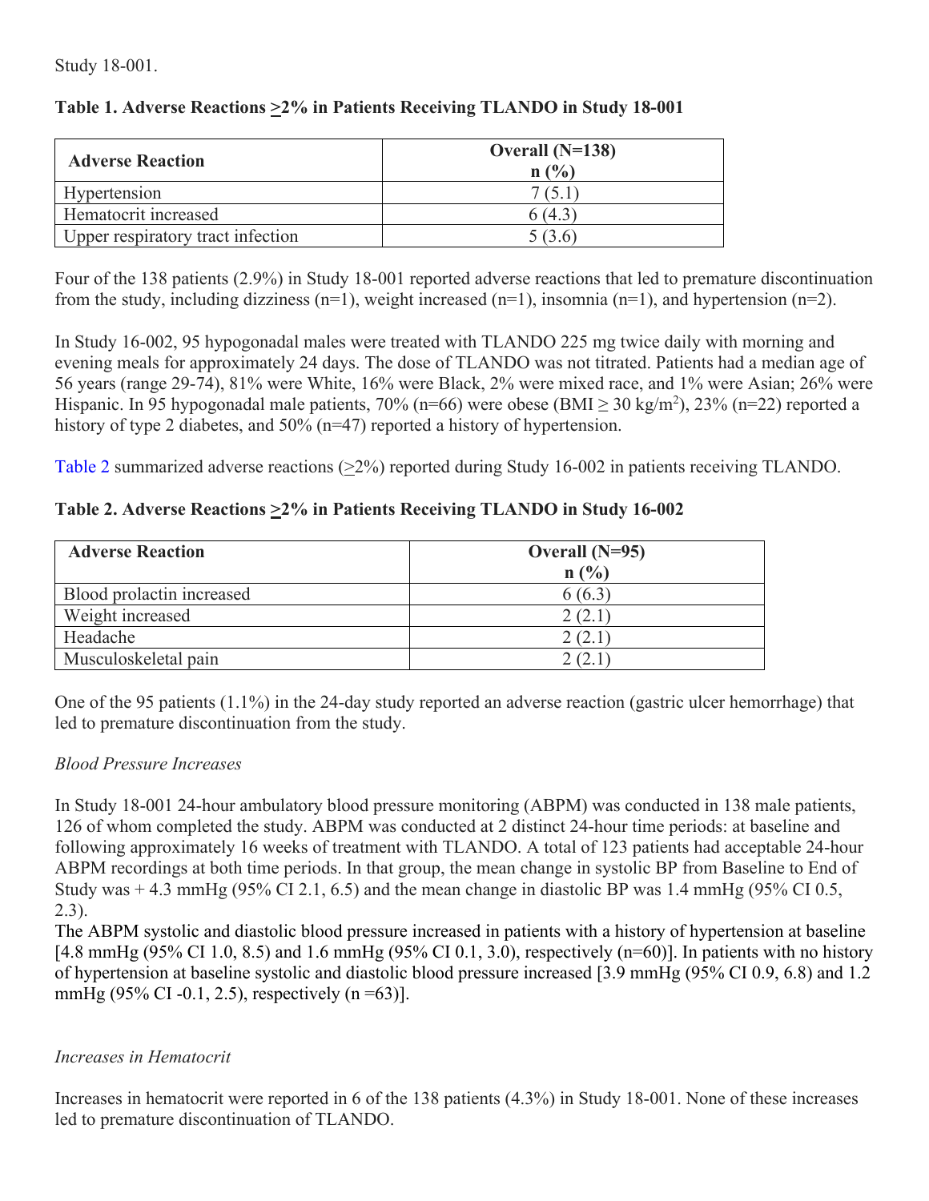Study 18-001.

| Table 1. Adverse Reactions > 2% in Patients Receiving TLANDO in Study 18-001 |  |  |  |
|------------------------------------------------------------------------------|--|--|--|
|------------------------------------------------------------------------------|--|--|--|

| <b>Adverse Reaction</b>           | Overall $(N=138)$<br>n(%) |  |
|-----------------------------------|---------------------------|--|
| Hypertension                      | 7(5.1)                    |  |
| Hematocrit increased              | 3 (4.3                    |  |
| Upper respiratory tract infection | 5(3.6)                    |  |

Four of the 138 patients (2.9%) in Study 18-001 reported adverse reactions that led to premature discontinuation from the study, including dizziness  $(n=1)$ , weight increased  $(n=1)$ , insomnia  $(n=1)$ , and hypertension  $(n=2)$ .

In Study 16-002, 95 hypogonadal males were treated with TLANDO 225 mg twice daily with morning and evening meals for approximately 24 days. The dose of TLANDO was not titrated. Patients had a median age of 56 years (range 29-74), 81% were White, 16% were Black, 2% were mixed race, and 1% were Asian; 26% were Hispanic. In 95 hypogonadal male patients, 70% (n=66) were obese (BMI  $\geq$  30 kg/m<sup>2</sup>), 23% (n=22) reported a history of type 2 diabetes, and 50% (n=47) reported a history of hypertension.

Table 2 summarized adverse reactions  $(\geq 2\%)$  reported during Study 16-002 in patients receiving TLANDO.

# **Table 2. Adverse Reactions >2% in Patients Receiving TLANDO in Study 16-002**

| <b>Adverse Reaction</b>   | Overall $(N=95)$ |
|---------------------------|------------------|
|                           | $n(^{0}/_{0})$   |
| Blood prolactin increased | 6(6.3)           |
| Weight increased          | 2(2.1)           |
| Headache                  | 2(2.1)           |
| Musculoskeletal pain      | 2(2)             |

One of the 95 patients (1.1%) in the 24-day study reported an adverse reaction (gastric ulcer hemorrhage) that led to premature discontinuation from the study.

### *Blood Pressure Increases*

In Study 18-001 24-hour ambulatory blood pressure monitoring (ABPM) was conducted in 138 male patients, 126 of whom completed the study. ABPM was conducted at 2 distinct 24-hour time periods: at baseline and following approximately 16 weeks of treatment with TLANDO. A total of 123 patients had acceptable 24-hour ABPM recordings at both time periods. In that group, the mean change in systolic BP from Baseline to End of Study was  $+4.3$  mmHg (95% CI 2.1, 6.5) and the mean change in diastolic BP was 1.4 mmHg (95% CI 0.5, 2.3).

The ABPM systolic and diastolic blood pressure increased in patients with a history of hypertension at baseline [4.8 mmHg (95% CI 1.0, 8.5) and 1.6 mmHg (95% CI 0.1, 3.0), respectively (n=60)]. In patients with no history of hypertension at baseline systolic and diastolic blood pressure increased [3.9 mmHg (95% CI 0.9, 6.8) and 1.2 mmHg (95% CI -0.1, 2.5), respectively  $(n = 63)$ ].

### *Increases in Hematocrit*

Increases in hematocrit were reported in 6 of the 138 patients (4.3%) in Study 18-001. None of these increases led to premature discontinuation of TLANDO.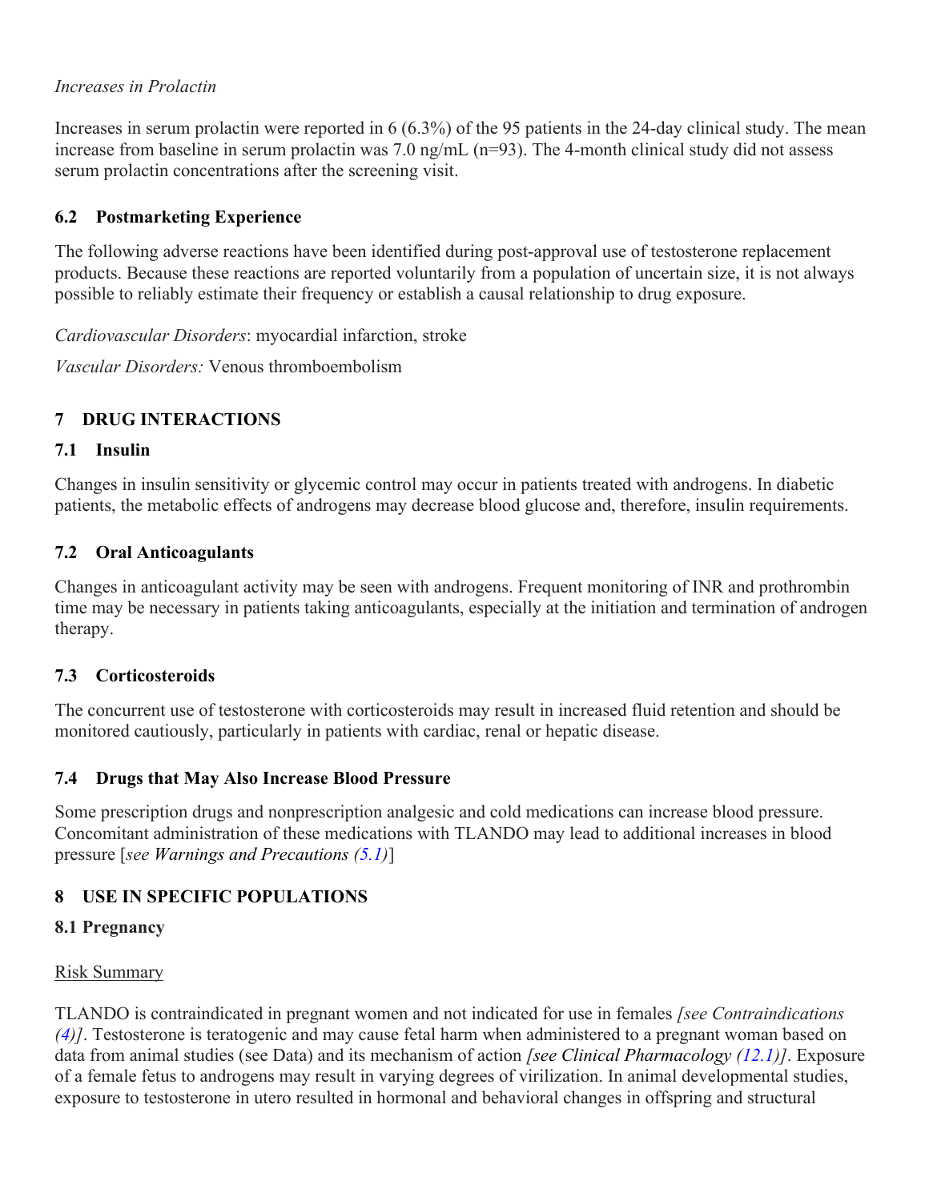### *Increases in Prolactin*

Increases in serum prolactin were reported in 6 (6.3%) of the 95 patients in the 24-day clinical study. The mean increase from baseline in serum prolactin was 7.0 ng/mL (n=93). The 4-month clinical study did not assess serum prolactin concentrations after the screening visit.

# **6.2 Postmarketing Experience**

The following adverse reactions have been identified during post-approval use of testosterone replacement products. Because these reactions are reported voluntarily from a population of uncertain size, it is not always possible to reliably estimate their frequency or establish a causal relationship to drug exposure.

*Cardiovascular Disorders*: myocardial infarction, stroke

*Vascular Disorders:* Venous thromboembolism

# **7 DRUG INTERACTIONS**

### **7.1 Insulin**

Changes in insulin sensitivity or glycemic control may occur in patients treated with androgens. In diabetic patients, the metabolic effects of androgens may decrease blood glucose and, therefore, insulin requirements.

### **7.2 Oral Anticoagulants**

Changes in anticoagulant activity may be seen with androgens. Frequent monitoring of INR and prothrombin time may be necessary in patients taking anticoagulants, especially at the initiation and termination of androgen therapy.

### **7.3 Corticosteroids**

The concurrent use of testosterone with corticosteroids may result in increased fluid retention and should be monitored cautiously, particularly in patients with cardiac, renal or hepatic disease.

### **7.4 Drugs that May Also Increase Blood Pressure**

Some prescription drugs and nonprescription analgesic and cold medications can increase blood pressure. Concomitant administration of these medications with TLANDO may lead to additional increases in blood pressure [*see Warnings and Precautions (5.1)*]

### **8 USE IN SPECIFIC POPULATIONS**

### **8.1 Pregnancy**

### Risk Summary

TLANDO is contraindicated in pregnant women and not indicated for use in females *[see Contraindications (4)]*. Testosterone is teratogenic and may cause fetal harm when administered to a pregnant woman based on data from animal studies (see Data) and its mechanism of action *[see Clinical Pharmacology (12.1)]*. Exposure of a female fetus to androgens may result in varying degrees of virilization. In animal developmental studies, exposure to testosterone in utero resulted in hormonal and behavioral changes in offspring and structural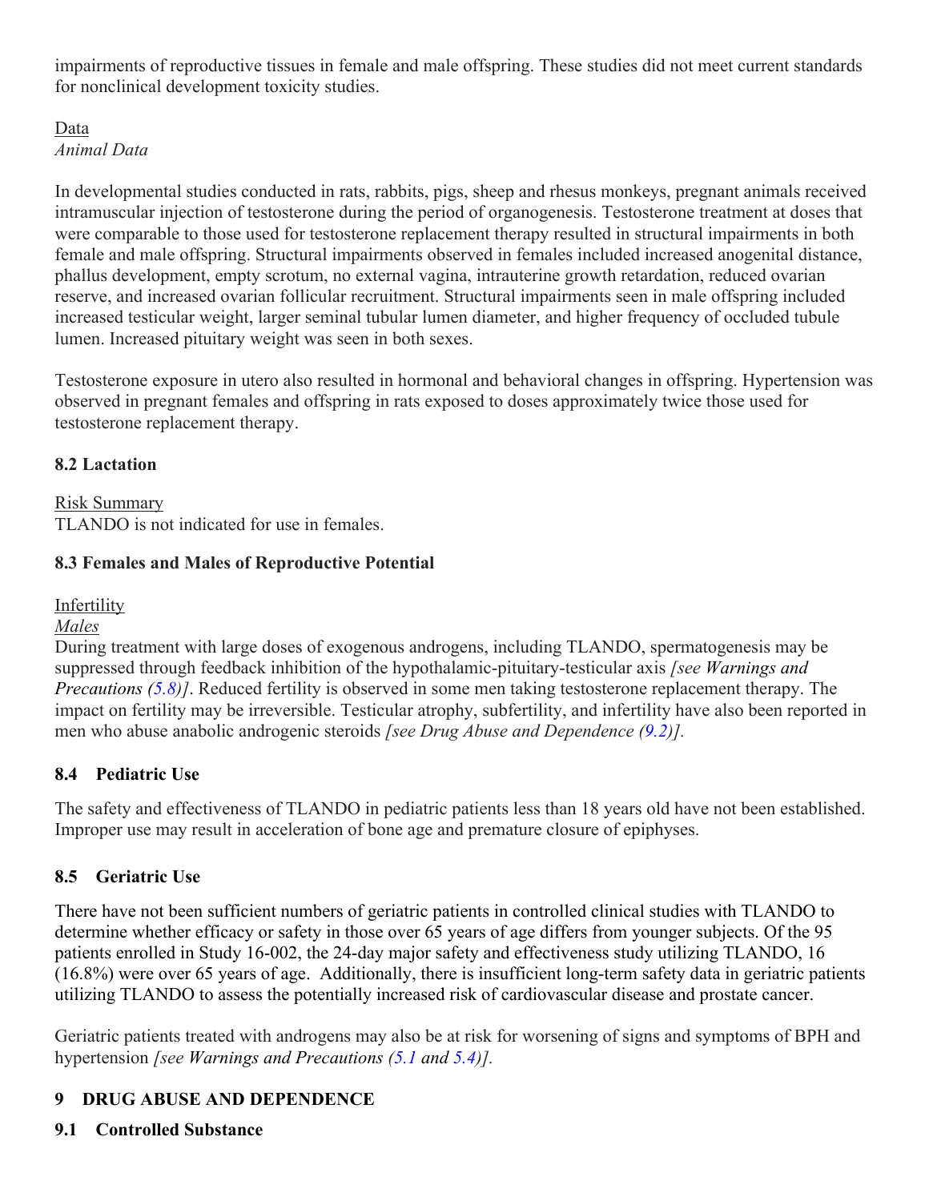impairments of reproductive tissues in female and male offspring. These studies did not meet current standards for nonclinical development toxicity studies.

# Data

*Animal Data*

In developmental studies conducted in rats, rabbits, pigs, sheep and rhesus monkeys, pregnant animals received intramuscular injection of testosterone during the period of organogenesis. Testosterone treatment at doses that were comparable to those used for testosterone replacement therapy resulted in structural impairments in both female and male offspring. Structural impairments observed in females included increased anogenital distance, phallus development, empty scrotum, no external vagina, intrauterine growth retardation, reduced ovarian reserve, and increased ovarian follicular recruitment. Structural impairments seen in male offspring included increased testicular weight, larger seminal tubular lumen diameter, and higher frequency of occluded tubule lumen. Increased pituitary weight was seen in both sexes.

Testosterone exposure in utero also resulted in hormonal and behavioral changes in offspring. Hypertension was observed in pregnant females and offspring in rats exposed to doses approximately twice those used for testosterone replacement therapy.

# **8.2 Lactation**

Risk Summary TLANDO is not indicated for use in females.

# **8.3 Females and Males of Reproductive Potential**

**Infertility** 

#### *Males*

During treatment with large doses of exogenous androgens, including TLANDO, spermatogenesis may be suppressed through feedback inhibition of the hypothalamic-pituitary-testicular axis *[see Warnings and Precautions (5.8)]*. Reduced fertility is observed in some men taking testosterone replacement therapy. The impact on fertility may be irreversible. Testicular atrophy, subfertility, and infertility have also been reported in men who abuse anabolic androgenic steroids *[see Drug Abuse and Dependence (9.2)].*

### **8.4 Pediatric Use**

The safety and effectiveness of TLANDO in pediatric patients less than 18 years old have not been established. Improper use may result in acceleration of bone age and premature closure of epiphyses.

# **8.5 Geriatric Use**

There have not been sufficient numbers of geriatric patients in controlled clinical studies with TLANDO to determine whether efficacy or safety in those over 65 years of age differs from younger subjects. Of the 95 patients enrolled in Study 16-002, the 24-day major safety and effectiveness study utilizing TLANDO, 16 (16.8%) were over 65 years of age. Additionally, there is insufficient long-term safety data in geriatric patients utilizing TLANDO to assess the potentially increased risk of cardiovascular disease and prostate cancer.

Geriatric patients treated with androgens may also be at risk for worsening of signs and symptoms of BPH and hypertension *[see Warnings and Precautions (5.1 and 5.4)].*

# **9 DRUG ABUSE AND DEPENDENCE**

# **9.1 Controlled Substance**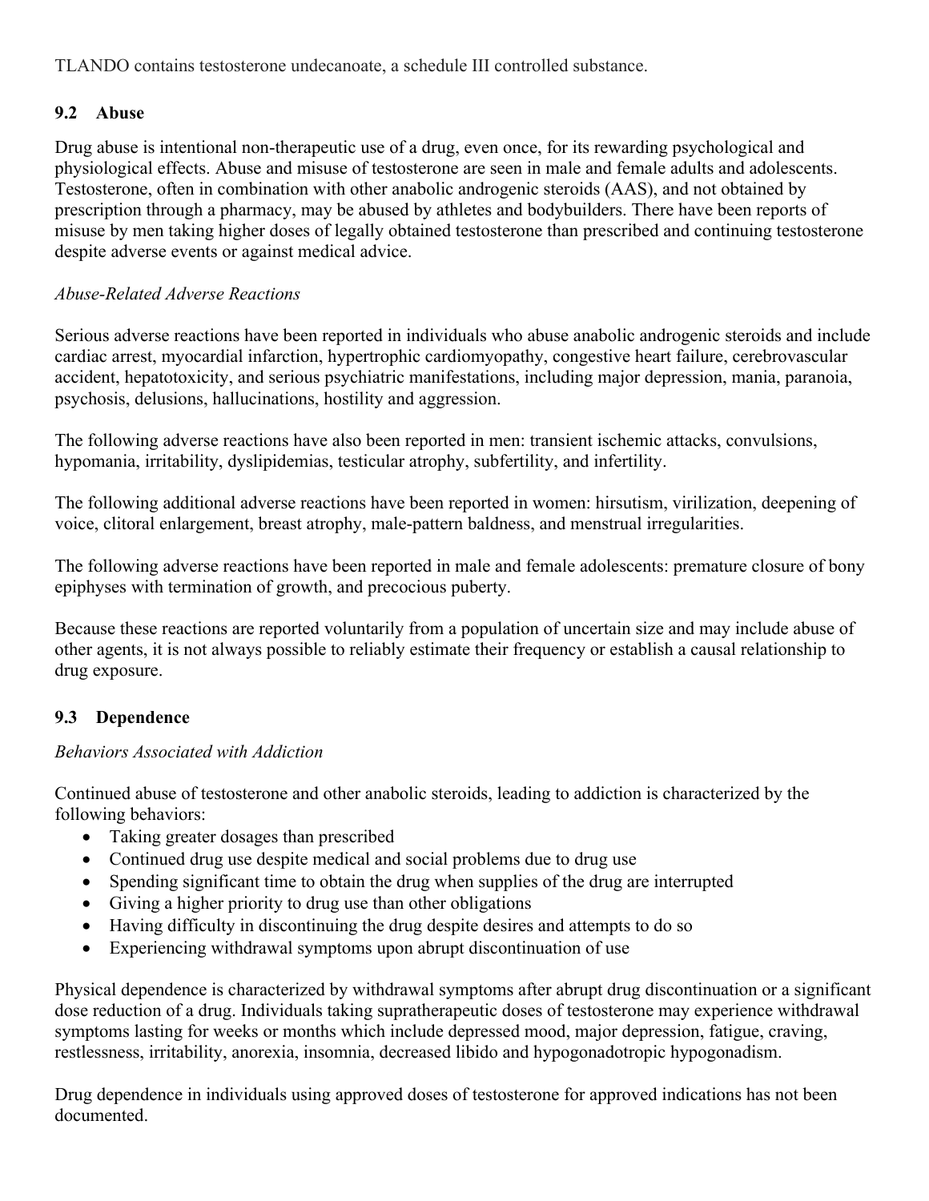TLANDO contains testosterone undecanoate, a schedule III controlled substance.

# **9.2 Abuse**

Drug abuse is intentional non-therapeutic use of a drug, even once, for its rewarding psychological and physiological effects. Abuse and misuse of testosterone are seen in male and female adults and adolescents. Testosterone, often in combination with other anabolic androgenic steroids (AAS), and not obtained by prescription through a pharmacy, may be abused by athletes and bodybuilders. There have been reports of misuse by men taking higher doses of legally obtained testosterone than prescribed and continuing testosterone despite adverse events or against medical advice.

# *Abuse-Related Adverse Reactions*

Serious adverse reactions have been reported in individuals who abuse anabolic androgenic steroids and include cardiac arrest, myocardial infarction, hypertrophic cardiomyopathy, congestive heart failure, cerebrovascular accident, hepatotoxicity, and serious psychiatric manifestations, including major depression, mania, paranoia, psychosis, delusions, hallucinations, hostility and aggression.

The following adverse reactions have also been reported in men: transient ischemic attacks, convulsions, hypomania, irritability, dyslipidemias, testicular atrophy, subfertility, and infertility.

The following additional adverse reactions have been reported in women: hirsutism, virilization, deepening of voice, clitoral enlargement, breast atrophy, male-pattern baldness, and menstrual irregularities.

The following adverse reactions have been reported in male and female adolescents: premature closure of bony epiphyses with termination of growth, and precocious puberty.

Because these reactions are reported voluntarily from a population of uncertain size and may include abuse of other agents, it is not always possible to reliably estimate their frequency or establish a causal relationship to drug exposure.

# **9.3 Dependence**

# *Behaviors Associated with Addiction*

Continued abuse of testosterone and other anabolic steroids, leading to addiction is characterized by the following behaviors:

- Taking greater dosages than prescribed
- Continued drug use despite medical and social problems due to drug use
- Spending significant time to obtain the drug when supplies of the drug are interrupted
- Giving a higher priority to drug use than other obligations
- Having difficulty in discontinuing the drug despite desires and attempts to do so
- Experiencing withdrawal symptoms upon abrupt discontinuation of use

Physical dependence is characterized by withdrawal symptoms after abrupt drug discontinuation or a significant dose reduction of a drug. Individuals taking supratherapeutic doses of testosterone may experience withdrawal symptoms lasting for weeks or months which include depressed mood, major depression, fatigue, craving, restlessness, irritability, anorexia, insomnia, decreased libido and hypogonadotropic hypogonadism.

Drug dependence in individuals using approved doses of testosterone for approved indications has not been documented.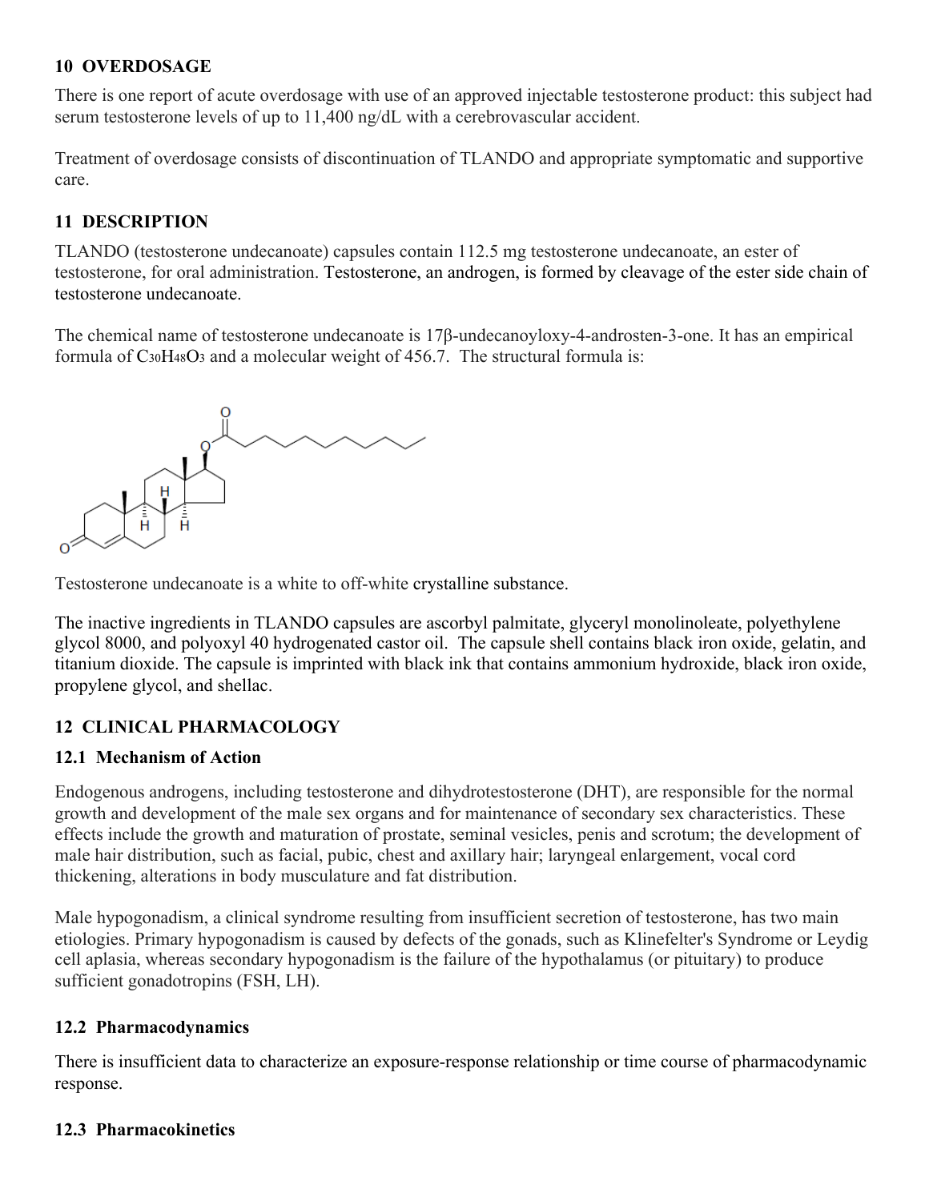# **10 OVERDOSAGE**

There is one report of acute overdosage with use of an approved injectable testosterone product: this subject had serum testosterone levels of up to 11,400 ng/dL with a cerebrovascular accident.

Treatment of overdosage consists of discontinuation of TLANDO and appropriate symptomatic and supportive care.

# **11 DESCRIPTION**

TLANDO (testosterone undecanoate) capsules contain 112.5 mg testosterone undecanoate, an ester of testosterone, for oral administration. Testosterone, an androgen, is formed by cleavage of the ester side chain of testosterone undecanoate.

The chemical name of testosterone undecanoate is 17β-undecanoyloxy-4-androsten-3-one. It has an empirical formula of  $C_3$ <sub>0</sub>H<sub>48</sub>O<sub>3</sub> and a molecular weight of 456.7. The structural formula is:



Testosterone undecanoate is a white to off-white crystalline substance.

The inactive ingredients in TLANDO capsules are ascorbyl palmitate, glyceryl monolinoleate, polyethylene glycol 8000, and polyoxyl 40 hydrogenated castor oil. The capsule shell contains black iron oxide, gelatin, and titanium dioxide. The capsule is imprinted with black ink that contains ammonium hydroxide, black iron oxide, propylene glycol, and shellac.

# **12 CLINICAL PHARMACOLOGY**

### **12.1 Mechanism of Action**

Endogenous androgens, including testosterone and dihydrotestosterone (DHT), are responsible for the normal growth and development of the male sex organs and for maintenance of secondary sex characteristics. These effects include the growth and maturation of prostate, seminal vesicles, penis and scrotum; the development of male hair distribution, such as facial, pubic, chest and axillary hair; laryngeal enlargement, vocal cord thickening, alterations in body musculature and fat distribution.

Male hypogonadism, a clinical syndrome resulting from insufficient secretion of testosterone, has two main etiologies. Primary hypogonadism is caused by defects of the gonads, such as Klinefelter's Syndrome or Leydig cell aplasia, whereas secondary hypogonadism is the failure of the hypothalamus (or pituitary) to produce sufficient gonadotropins (FSH, LH).

### **12.2 Pharmacodynamics**

There is insufficient data to characterize an exposure-response relationship or time course of pharmacodynamic response.

# **12.3 Pharmacokinetics**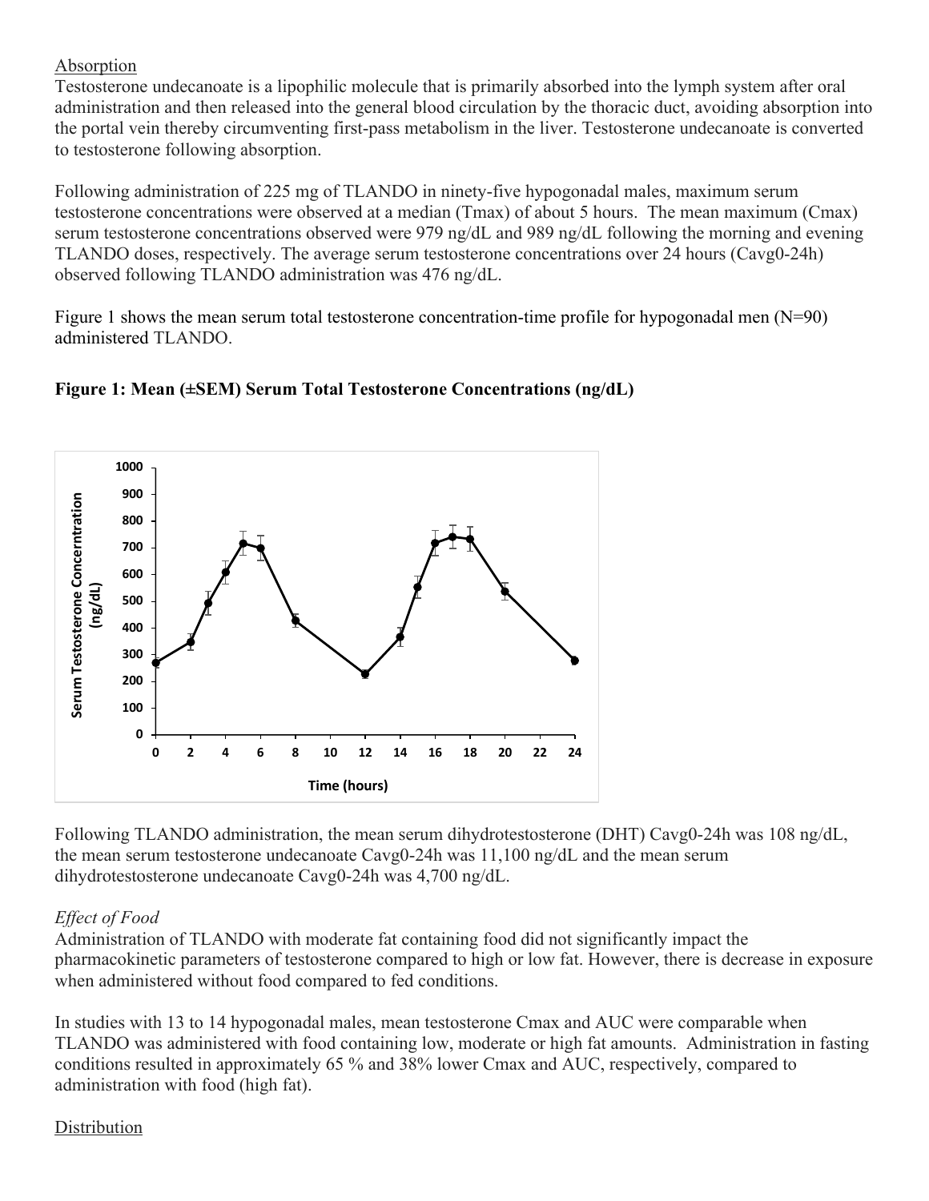# Absorption

Testosterone undecanoate is a lipophilic molecule that is primarily absorbed into the lymph system after oral administration and then released into the general blood circulation by the thoracic duct, avoiding absorption into the portal vein thereby circumventing first-pass metabolism in the liver. Testosterone undecanoate is converted to testosterone following absorption.

Following administration of 225 mg of TLANDO in ninety-five hypogonadal males, maximum serum testosterone concentrations were observed at a median (Tmax) of about 5 hours. The mean maximum (Cmax) serum testosterone concentrations observed were 979 ng/dL and 989 ng/dL following the morning and evening TLANDO doses, respectively. The average serum testosterone concentrations over 24 hours (Cavg0-24h) observed following TLANDO administration was 476 ng/dL.

Figure 1 shows the mean serum total testosterone concentration-time profile for hypogonadal men (N=90) administered TLANDO.



# **Figure 1: Mean (±SEM) Serum Total Testosterone Concentrations (ng/dL)**

Following TLANDO administration, the mean serum dihydrotestosterone (DHT) Cavg0-24h was 108 ng/dL, the mean serum testosterone undecanoate Cavg0-24h was 11,100 ng/dL and the mean serum dihydrotestosterone undecanoate Cavg0-24h was 4,700 ng/dL.

# *Effect of Food*

Administration of TLANDO with moderate fat containing food did not significantly impact the pharmacokinetic parameters of testosterone compared to high or low fat. However, there is decrease in exposure when administered without food compared to fed conditions.

In studies with 13 to 14 hypogonadal males, mean testosterone Cmax and AUC were comparable when TLANDO was administered with food containing low, moderate or high fat amounts. Administration in fasting conditions resulted in approximately 65 % and 38% lower Cmax and AUC, respectively, compared to administration with food (high fat).

# Distribution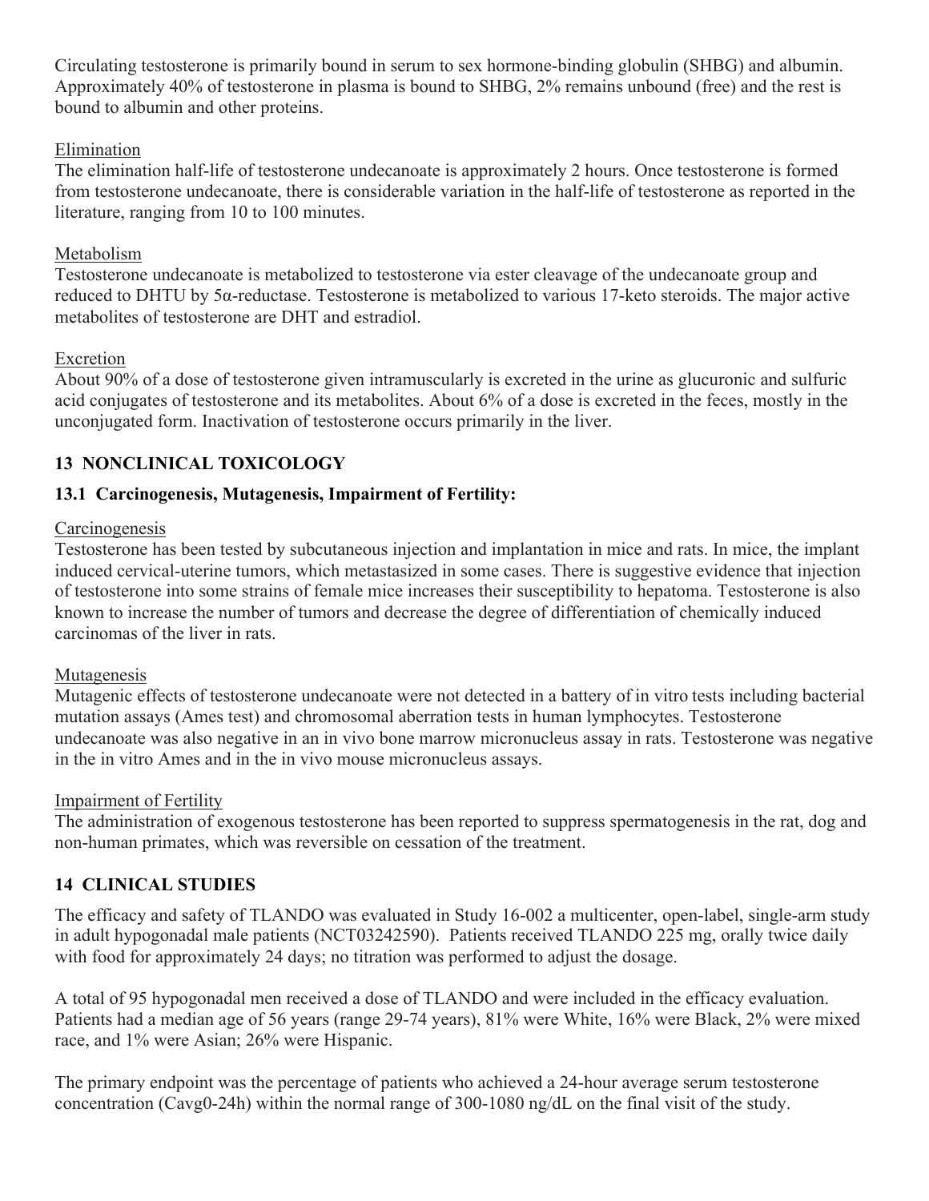Circulating testosterone is primarily bound in serum to sex hormone-binding globulin (SHBG) and albumin. Approximately 40% of testosterone in plasma is bound to SHBG, 2% remains unbound (free) and the rest is bound to albumin and other proteins.

### Elimination

The elimination half-life of testosterone undecanoate is approximately 2 hours. Once testosterone is formed from testosterone undecanoate, there is considerable variation in the half-life of testosterone as reported in the literature, ranging from 10 to 100 minutes.

# Metabolism

Testosterone undecanoate is metabolized to testosterone via ester cleavage of the undecanoate group and reduced to DHTU by 5α-reductase. Testosterone is metabolized to various 17-keto steroids. The major active metabolites of testosterone are DHT and estradiol.

# Excretion

About 90% of a dose of testosterone given intramuscularly is excreted in the urine as glucuronic and sulfuric acid conjugates of testosterone and its metabolites. About 6% of a dose is excreted in the feces, mostly in the unconjugated form. Inactivation of testosterone occurs primarily in the liver.

# **13 NONCLINICAL TOXICOLOGY**

# **13.1 Carcinogenesis, Mutagenesis, Impairment of Fertility:**

# **Carcinogenesis**

Testosterone has been tested by subcutaneous injection and implantation in mice and rats. In mice, the implant induced cervical-uterine tumors, which metastasized in some cases. There is suggestive evidence that injection of testosterone into some strains of female mice increases their susceptibility to hepatoma. Testosterone is also known to increase the number of tumors and decrease the degree of differentiation of chemically induced carcinomas of the liver in rats.

# Mutagenesis

Mutagenic effects of testosterone undecanoate were not detected in a battery of in vitro tests including bacterial mutation assays (Ames test) and chromosomal aberration tests in human lymphocytes. Testosterone undecanoate was also negative in an in vivo bone marrow micronucleus assay in rats. Testosterone was negative in the in vitro Ames and in the in vivo mouse micronucleus assays.

### Impairment of Fertility

The administration of exogenous testosterone has been reported to suppress spermatogenesis in the rat, dog and non-human primates, which was reversible on cessation of the treatment.

# **14 CLINICAL STUDIES**

The efficacy and safety of TLANDO was evaluated in Study 16-002 a multicenter, open-label, single-arm study in adult hypogonadal male patients (NCT03242590). Patients received TLANDO 225 mg, orally twice daily with food for approximately 24 days; no titration was performed to adjust the dosage.

A total of 95 hypogonadal men received a dose of TLANDO and were included in the efficacy evaluation. Patients had a median age of 56 years (range 29-74 years), 81% were White, 16% were Black, 2% were mixed race, and 1% were Asian; 26% were Hispanic.

The primary endpoint was the percentage of patients who achieved a 24-hour average serum testosterone concentration (Cavg0-24h) within the normal range of 300-1080 ng/dL on the final visit of the study.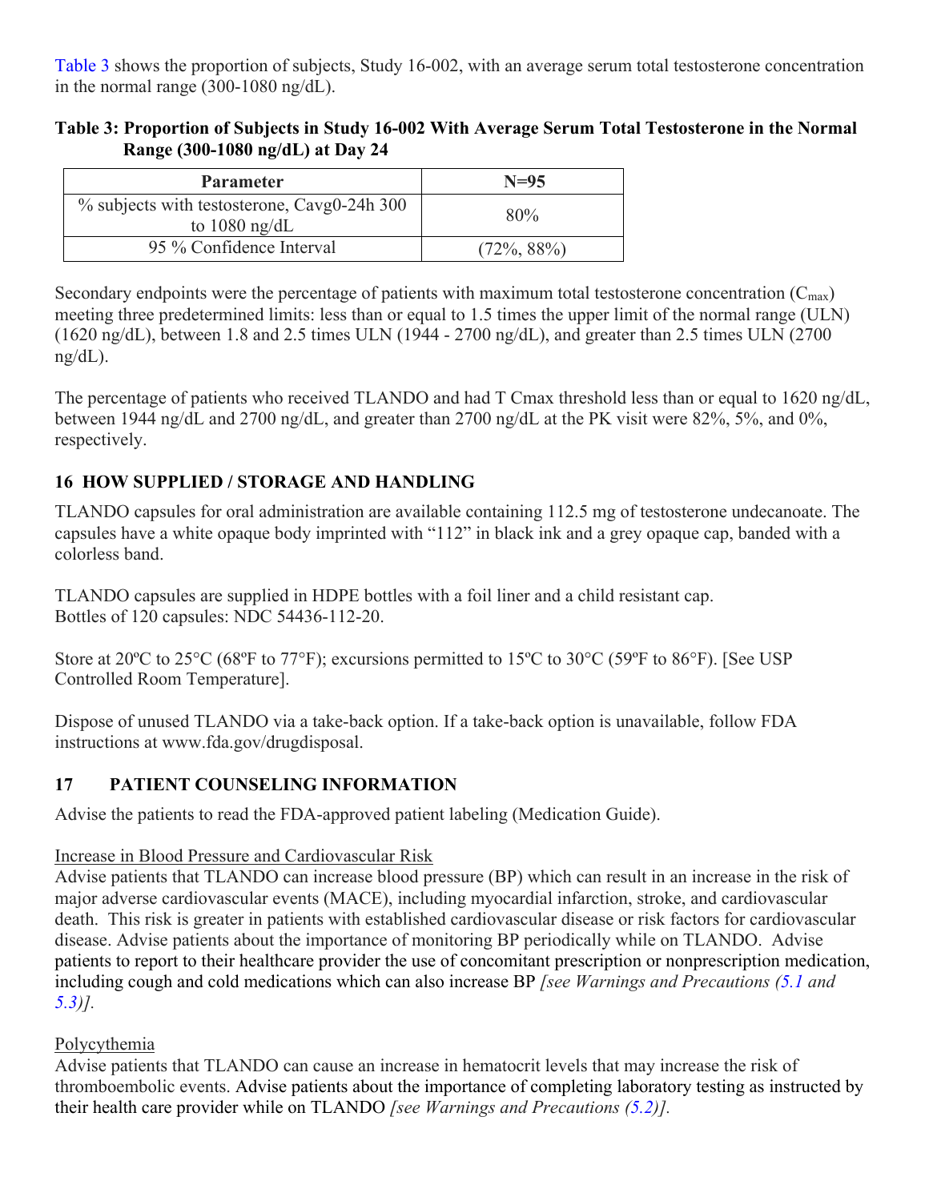Table 3 shows the proportion of subjects, Study 16-002, with an average serum total testosterone concentration in the normal range (300-1080 ng/dL).

# **Table 3: Proportion of Subjects in Study 16-002 With Average Serum Total Testosterone in the Normal Range (300-1080 ng/dL) at Day 24**

| <b>Parameter</b>                                               | $N=95$         |
|----------------------------------------------------------------|----------------|
| % subjects with testosterone, Cavg0-24h 300<br>to $1080$ ng/dL | 80%            |
| 95 % Confidence Interval                                       | $(72\%, 88\%)$ |

Secondary endpoints were the percentage of patients with maximum total testosterone concentration  $(C_{\text{max}})$ meeting three predetermined limits: less than or equal to 1.5 times the upper limit of the normal range (ULN) (1620 ng/dL), between 1.8 and 2.5 times ULN (1944 - 2700 ng/dL), and greater than 2.5 times ULN (2700  $ng/dL$ ).

The percentage of patients who received TLANDO and had T Cmax threshold less than or equal to 1620 ng/dL, between 1944 ng/dL and 2700 ng/dL, and greater than 2700 ng/dL at the PK visit were 82%, 5%, and 0%, respectively.

# **16 HOW SUPPLIED / STORAGE AND HANDLING**

TLANDO capsules for oral administration are available containing 112.5 mg of testosterone undecanoate. The capsules have a white opaque body imprinted with "112" in black ink and a grey opaque cap, banded with a colorless band.

TLANDO capsules are supplied in HDPE bottles with a foil liner and a child resistant cap. Bottles of 120 capsules: NDC 54436-112-20.

Store at 20<sup>o</sup>C to 25<sup>o</sup>C (68<sup>o</sup>F to 77<sup>o</sup>F); excursions permitted to 15<sup>o</sup>C to 30<sup>o</sup>C (59<sup>o</sup>F to 86<sup>o</sup>F). [See USP Controlled Room Temperature].

Dispose of unused TLANDO via a take-back option. If a take-back option is unavailable, follow FDA instructions at www.fda.gov/drugdisposal.

# **17 PATIENT COUNSELING INFORMATION**

Advise the patients to read the FDA-approved patient labeling (Medication Guide).

# Increase in Blood Pressure and Cardiovascular Risk

Advise patients that TLANDO can increase blood pressure (BP) which can result in an increase in the risk of major adverse cardiovascular events (MACE), including myocardial infarction, stroke, and cardiovascular death. This risk is greater in patients with established cardiovascular disease or risk factors for cardiovascular disease. Advise patients about the importance of monitoring BP periodically while on TLANDO. Advise patients to report to their healthcare provider the use of concomitant prescription or nonprescription medication, including cough and cold medications which can also increase BP *[see Warnings and Precautions (5.1 and 5.3)].*

# Polycythemia

Advise patients that TLANDO can cause an increase in hematocrit levels that may increase the risk of thromboembolic events. Advise patients about the importance of completing laboratory testing as instructed by their health care provider while on TLANDO *[see Warnings and Precautions (5.2)].*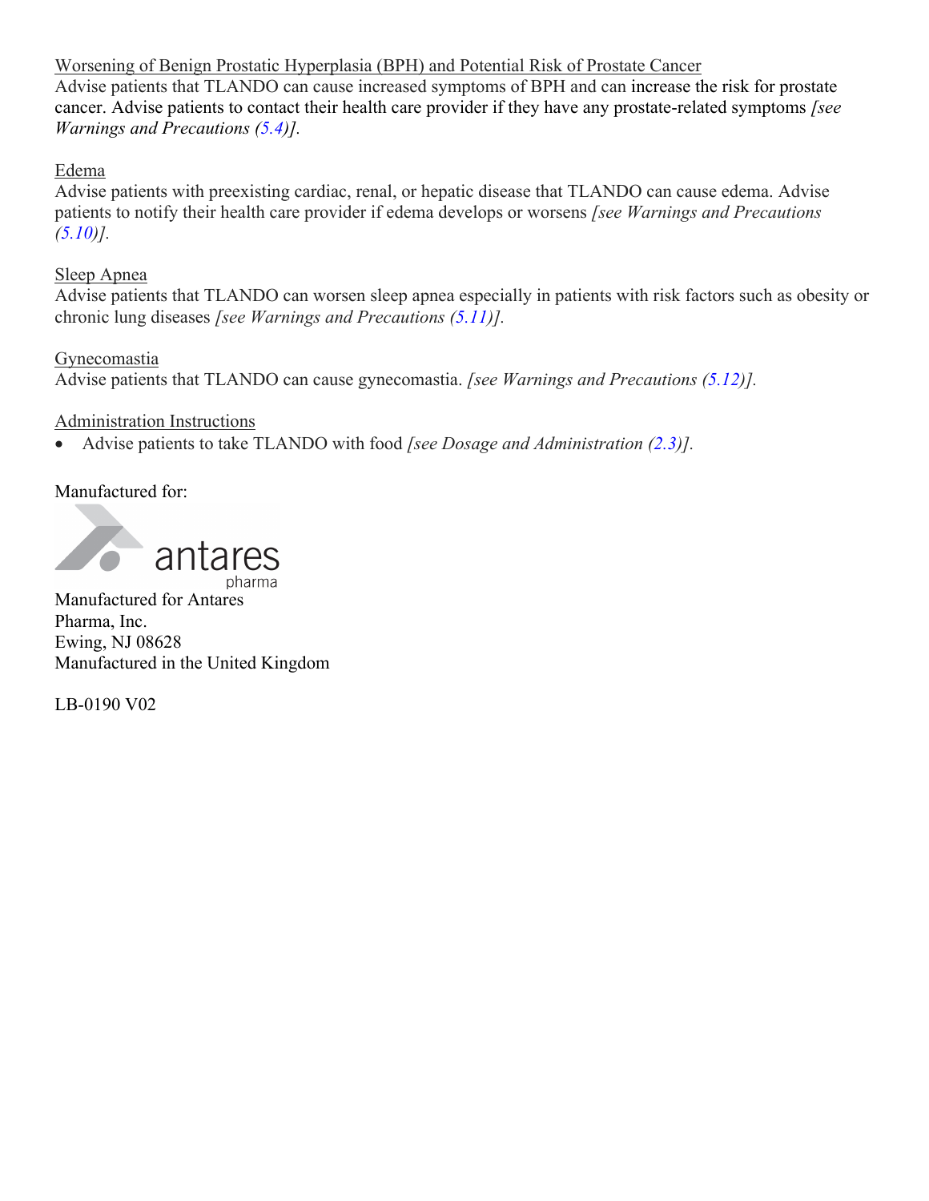Worsening of Benign Prostatic Hyperplasia (BPH) and Potential Risk of Prostate Cancer Advise patients that TLANDO can cause increased symptoms of BPH and can increase the risk for prostate cancer. Advise patients to contact their health care provider if they have any prostate-related symptoms *[see Warnings and Precautions (5.4)].*

### Edema

Advise patients with preexisting cardiac, renal, or hepatic disease that TLANDO can cause edema. Advise patients to notify their health care provider if edema develops or worsens *[see Warnings and Precautions (5.10)].*

# Sleep Apnea

Advise patients that TLANDO can worsen sleep apnea especially in patients with risk factors such as obesity or chronic lung diseases *[see Warnings and Precautions (5.11)].*

# Gynecomastia

Advise patients that TLANDO can cause gynecomastia. *[see Warnings and Precautions (5.12)].*

# Administration Instructions

• Advise patients to take TLANDO with food *[see Dosage and Administration (2.3)].*

Manufactured for:



Manufactured for Antares Pharma, Inc. Ewing, NJ 08628 Manufactured in the United Kingdom

LB-0190 V02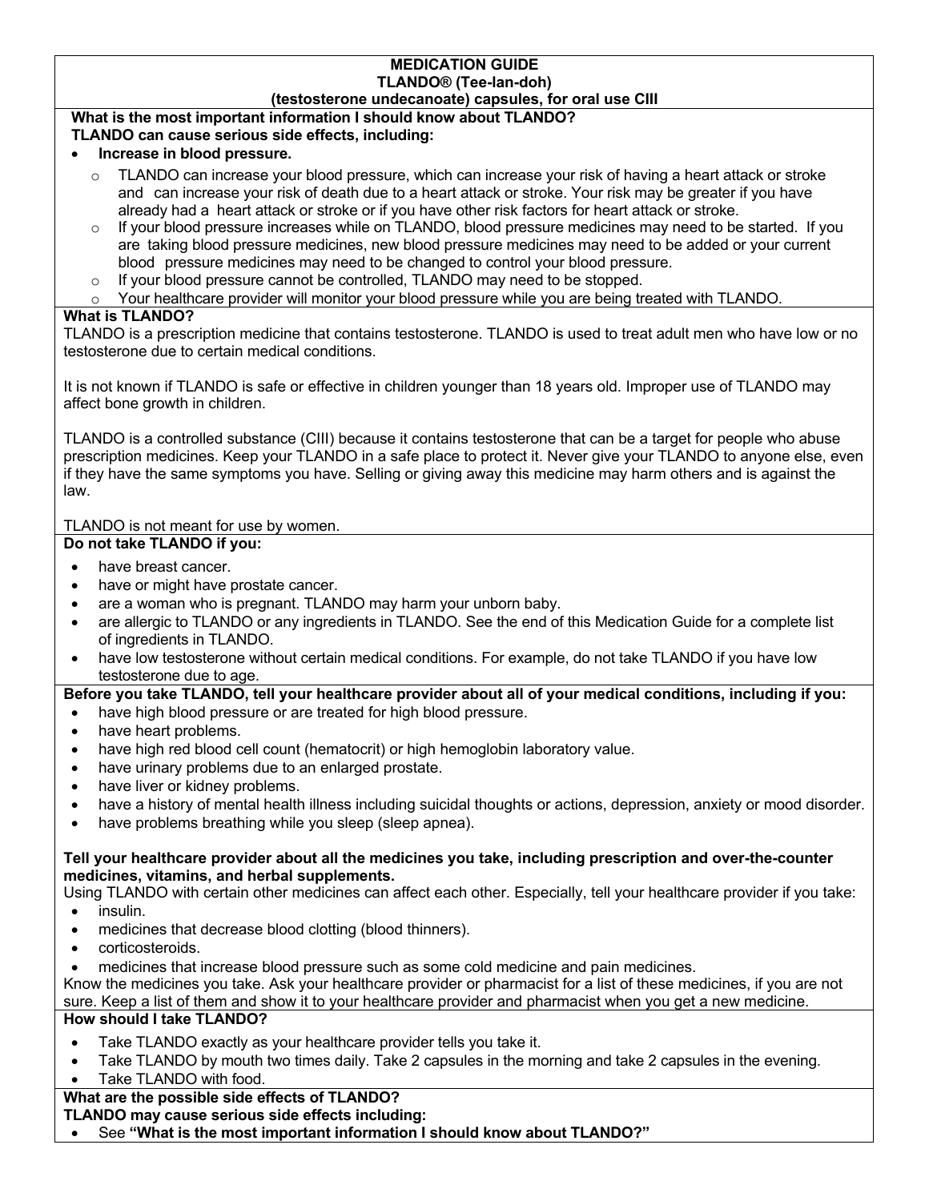#### **MEDICATION GUIDE TLANDO® (Tee-lan-doh) (testosterone undecanoate) capsules, for oral use CIII**

### **What is the most important information I should know about TLANDO?**

#### **TLANDO can cause serious side effects, including:**

#### • **Increase in blood pressure.**

- TLANDO can increase your blood pressure, which can increase your risk of having a heart attack or stroke and can increase your risk of death due to a heart attack or stroke. Your risk may be greater if you have already had a heart attack or stroke or if you have other risk factors for heart attack or stroke.
- If your blood pressure increases while on TLANDO, blood pressure medicines may need to be started. If you are taking blood pressure medicines, new blood pressure medicines may need to be added or your current blood pressure medicines may need to be changed to control your blood pressure.
- $\circ$  If your blood pressure cannot be controlled, TLANDO may need to be stopped.

Your healthcare provider will monitor your blood pressure while you are being treated with TLANDO.

#### **What is TLANDO?**

TLANDO is a prescription medicine that contains testosterone. TLANDO is used to treat adult men who have low or no testosterone due to certain medical conditions.

It is not known if TLANDO is safe or effective in children younger than 18 years old. Improper use of TLANDO may affect bone growth in children.

TLANDO is a controlled substance (CIII) because it contains testosterone that can be a target for people who abuse prescription medicines. Keep your TLANDO in a safe place to protect it. Never give your TLANDO to anyone else, even if they have the same symptoms you have. Selling or giving away this medicine may harm others and is against the law.

#### TLANDO is not meant for use by women.

#### **Do not take TLANDO if you:**

- have breast cancer.
- have or might have prostate cancer.
- are a woman who is pregnant. TLANDO may harm your unborn baby.
- are allergic to TLANDO or any ingredients in TLANDO. See the end of this Medication Guide for a complete list of ingredients in TLANDO.
- have low testosterone without certain medical conditions. For example, do not take TLANDO if you have low testosterone due to age.

#### **Before you take TLANDO, tell your healthcare provider about all of your medical conditions, including if you:**

- have high blood pressure or are treated for high blood pressure.
- have heart problems.
- have high red blood cell count (hematocrit) or high hemoglobin laboratory value.
- have urinary problems due to an enlarged prostate.
- have liver or kidney problems.
- have a history of mental health illness including suicidal thoughts or actions, depression, anxiety or mood disorder.
- have problems breathing while you sleep (sleep apnea).

#### **Tell your healthcare provider about all the medicines you take, including prescription and over-the-counter medicines, vitamins, and herbal supplements.**

Using TLANDO with certain other medicines can affect each other. Especially, tell your healthcare provider if you take:

- insulin.
- medicines that decrease blood clotting (blood thinners).
- corticosteroids.
- medicines that increase blood pressure such as some cold medicine and pain medicines.

Know the medicines you take. Ask your healthcare provider or pharmacist for a list of these medicines, if you are not sure. Keep a list of them and show it to your healthcare provider and pharmacist when you get a new medicine.

#### **How should I take TLANDO?**

- Take TLANDO exactly as your healthcare provider tells you take it.
- Take TLANDO by mouth two times daily. Take 2 capsules in the morning and take 2 capsules in the evening. Take TLANDO with food.

### **What are the possible side effects of TLANDO?**

**TLANDO may cause serious side effects including:**

• See **"What is the most important information I should know about TLANDO?"**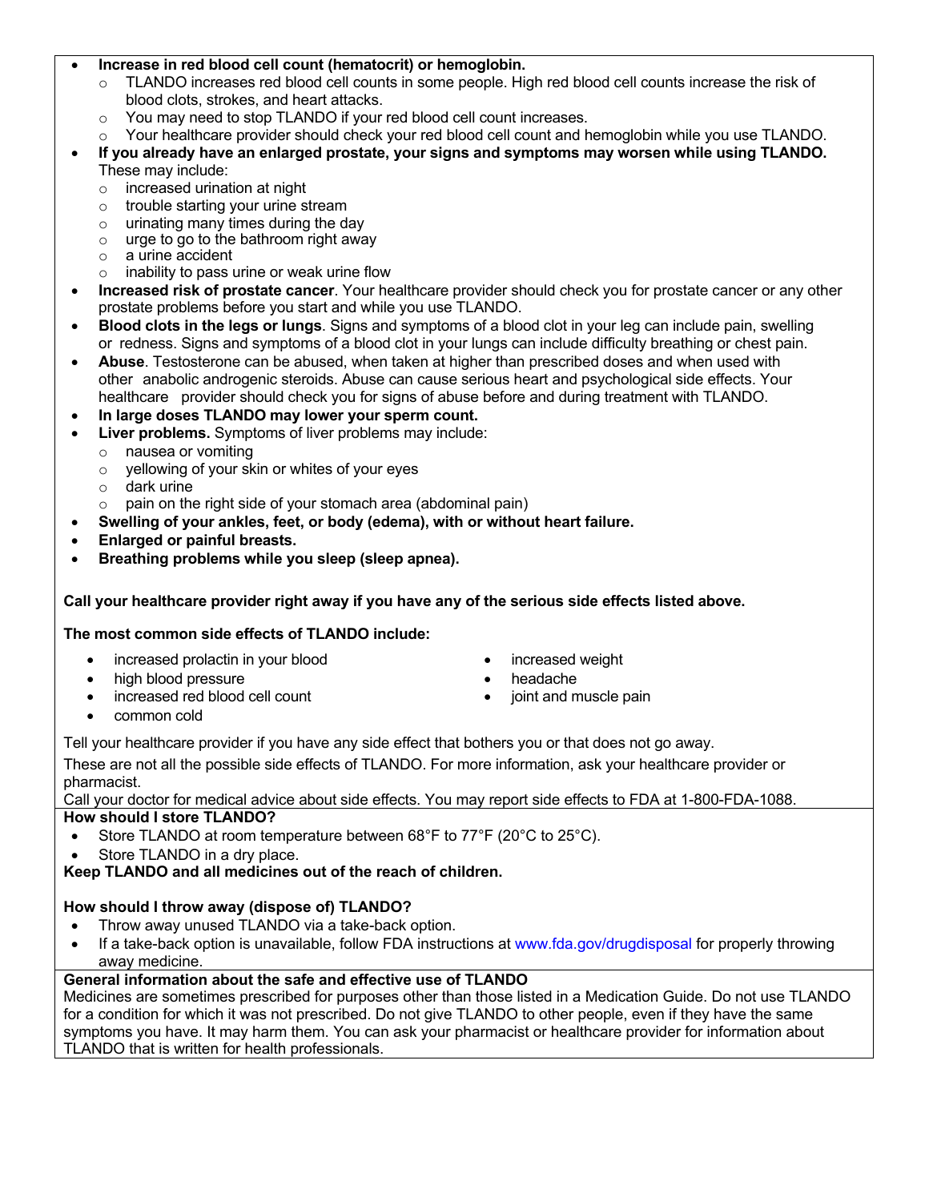#### • **Increase in red blood cell count (hematocrit) or hemoglobin.**

- o TLANDO increases red blood cell counts in some people. High red blood cell counts increase the risk of blood clots, strokes, and heart attacks.
- o You may need to stop TLANDO if your red blood cell count increases.
- $\circ$  Your healthcare provider should check your red blood cell count and hemoglobin while you use TLANDO.
- **If you already have an enlarged prostate, your signs and symptoms may worsen while using TLANDO.** These may include:
	- $\circ$  increased urination at night
	- o trouble starting your urine stream
	- o urinating many times during the day
	- o urge to go to the bathroom right away
	- o a urine accident
	- $\circ$  inability to pass urine or weak urine flow
- **Increased risk of prostate cancer**. Your healthcare provider should check you for prostate cancer or any other prostate problems before you start and while you use TLANDO.
- **Blood clots in the legs or lungs**. Signs and symptoms of a blood clot in your leg can include pain, swelling or redness. Signs and symptoms of a blood clot in your lungs can include difficulty breathing or chest pain.
- **Abuse**. Testosterone can be abused, when taken at higher than prescribed doses and when used with other anabolic androgenic steroids. Abuse can cause serious heart and psychological side effects. Your healthcare provider should check you for signs of abuse before and during treatment with TLANDO.
- **In large doses TLANDO may lower your sperm count.**
- **Liver problems.** Symptoms of liver problems may include:
	- o nausea or vomiting
	- o yellowing of your skin or whites of your eyes
	- o dark urine
	- $\circ$  pain on the right side of your stomach area (abdominal pain)
	- **Swelling of your ankles, feet, or body (edema), with or without heart failure.**
- **Enlarged or painful breasts.**
- **Breathing problems while you sleep (sleep apnea).**

#### **Call your healthcare provider right away if you have any of the serious side effects listed above.**

#### **The most common side effects of TLANDO include:**

- increased prolactin in your blood increased weight
- high blood pressure headache
- increased red blood cell count **•** joint and muscle pain
- 
- 
- 

• common cold

Tell your healthcare provider if you have any side effect that bothers you or that does not go away. These are not all the possible side effects of TLANDO. For more information, ask your healthcare provider or pharmacist.

#### Call your doctor for medical advice about side effects. You may report side effects to FDA at 1-800-FDA-1088.

#### **How should I store TLANDO?**

- Store TLANDO at room temperature between 68°F to 77°F (20°C to 25°C).
- Store TLANDO in a dry place.

**Keep TLANDO and all medicines out of the reach of children.**

#### **How should I throw away (dispose of) TLANDO?**

- Throw away unused TLANDO via a take-back option.
- If a take-back option is unavailable, follow FDA instructions at www.fda.gov/drugdisposal for properly throwing away medicine.

#### **General information about the safe and effective use of TLANDO**

Medicines are sometimes prescribed for purposes other than those listed in a Medication Guide. Do not use TLANDO for a condition for which it was not prescribed. Do not give TLANDO to other people, even if they have the same symptoms you have. It may harm them. You can ask your pharmacist or healthcare provider for information about TLANDO that is written for health professionals.